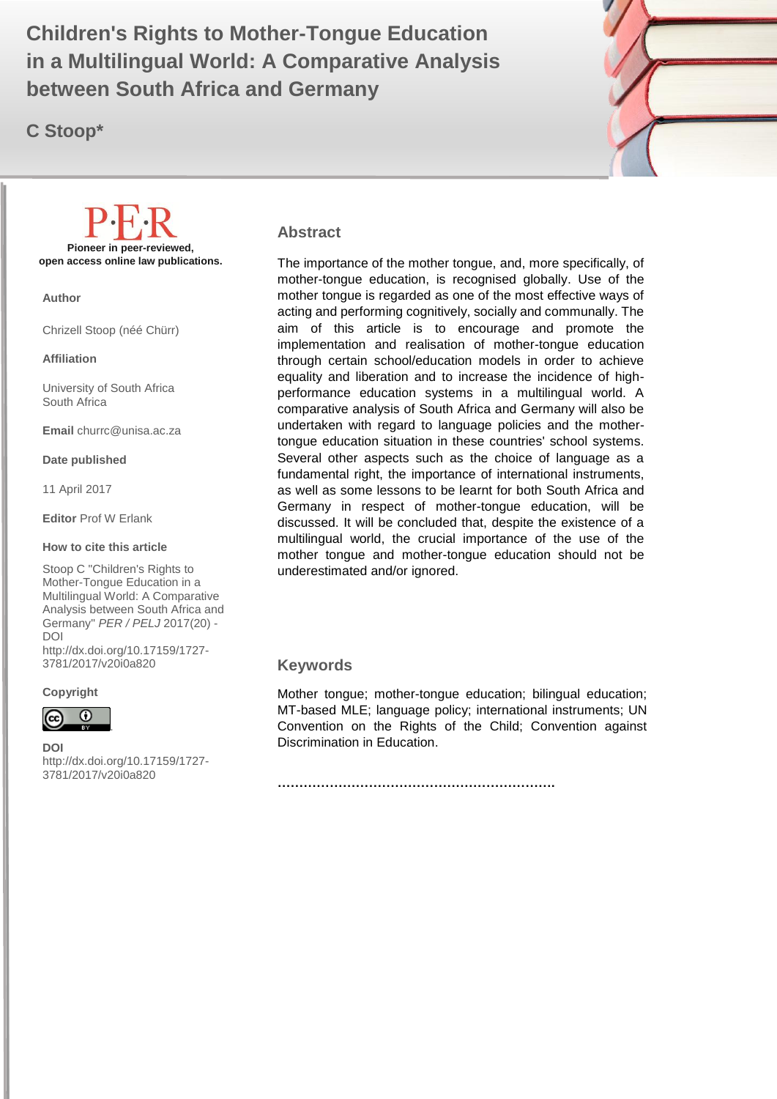in a Multilingual World: A Comparative Analysis **The Constant Children's Rights to Mother-Tongue Education between South Africa and Germany**

**C Stoop\***



#### **Abstract**

The importance of the mother tongue, and, more specifically, of mother-tongue education, is recognised globally. Use of the mother tongue is regarded as one of the most effective ways of acting and performing cognitively, socially and communally. The aim of this article is to encourage and promote the implementation and realisation of mother-tongue education through certain school/education models in order to achieve equality and liberation and to increase the incidence of highperformance education systems in a multilingual world. A comparative analysis of South Africa and Germany will also be undertaken with regard to language policies and the mothertongue education situation in these countries' school systems. Several other aspects such as the choice of language as a fundamental right, the importance of international instruments, as well as some lessons to be learnt for both South Africa and Germany in respect of mother-tongue education, will be discussed. It will be concluded that, despite the existence of a multilingual world, the crucial importance of the use of the mother tongue and mother-tongue education should not be underestimated and/or ignored.

#### **Keywords**

Mother tongue; mother-tongue education; bilingual education; MT-based MLE; language policy; international instruments; UN Convention on the Rights of the Child; Convention against Discrimination in Education.

**……………………………………………………….**

**Pioneer in peer-reviewed, open access online law publications.**

**Author**

Chrizell Stoop (néé Chürr)

**Affiliation**

University of South Africa South Africa

**Email** churrc@unisa.ac.za

**Date published**

11 April 2017

**Editor** Prof W Erlank

#### **How to cite this article**

Stoop C "Children's Rights to Mother-Tongue Education in a Multilingual World: A Comparative Analysis between South Africa and Germany" *PER / PELJ* 2017(20) - DOI

http://dx.doi.org/10.17159/1727- 3781/2017/v20i0a[820](http://journals.assaf.org.za/index.php/per/editor/submission/1160) 

**Copyright**



**DOI** 

http://dx.doi.org/10.17159/1727- 3781/2017/v20i0a[820](http://journals.assaf.org.za/index.php/per/editor/submission/1160)

.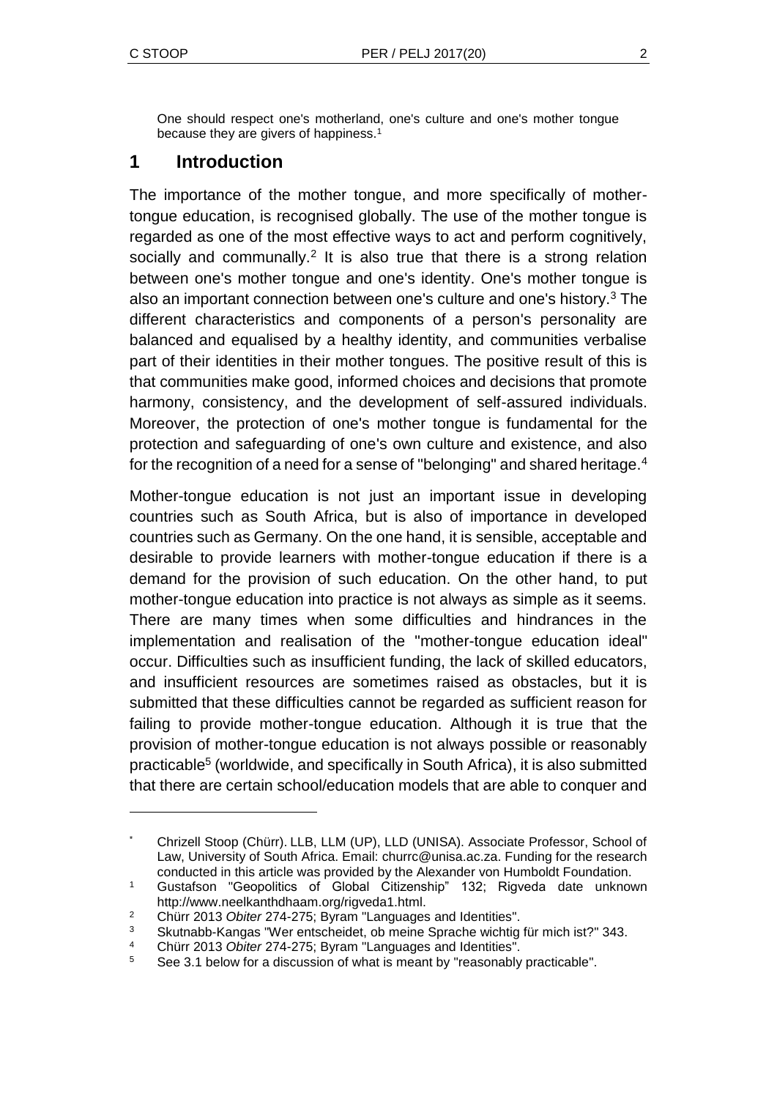l

One should respect one's motherland, one's culture and one's mother tongue because they are givers of happiness.<sup>1</sup>

## **1 Introduction**

The importance of the mother tongue, and more specifically of mothertongue education, is recognised globally. The use of the mother tongue is regarded as one of the most effective ways to act and perform cognitively, socially and communally.<sup>2</sup> It is also true that there is a strong relation between one's mother tongue and one's identity. One's mother tongue is also an important connection between one's culture and one's history.<sup>3</sup> The different characteristics and components of a person's personality are balanced and equalised by a healthy identity, and communities verbalise part of their identities in their mother tongues. The positive result of this is that communities make good, informed choices and decisions that promote harmony, consistency, and the development of self-assured individuals. Moreover, the protection of one's mother tongue is fundamental for the protection and safeguarding of one's own culture and existence, and also for the recognition of a need for a sense of "belonging" and shared heritage.<sup>4</sup>

Mother-tongue education is not just an important issue in developing countries such as South Africa, but is also of importance in developed countries such as Germany. On the one hand, it is sensible, acceptable and desirable to provide learners with mother-tongue education if there is a demand for the provision of such education. On the other hand, to put mother-tongue education into practice is not always as simple as it seems. There are many times when some difficulties and hindrances in the implementation and realisation of the "mother-tongue education ideal" occur. Difficulties such as insufficient funding, the lack of skilled educators, and insufficient resources are sometimes raised as obstacles, but it is submitted that these difficulties cannot be regarded as sufficient reason for failing to provide mother-tongue education. Although it is true that the provision of mother-tongue education is not always possible or reasonably practicable<sup>5</sup> (worldwide, and specifically in South Africa), it is also submitted that there are certain school/education models that are able to conquer and

<sup>\*</sup> Chrizell Stoop (Chürr). LLB, LLM (UP), LLD (UNISA). Associate Professor, School of Law, University of South Africa. Email: churrc@unisa.ac.za. Funding for the research conducted in this article was provided by the Alexander von Humboldt Foundation.

<sup>1</sup> Gustafson "Geopolitics of Global Citizenship" 132; Rigveda date unknown http://www.neelkanthdhaam.org/rigveda1.html.

<sup>2</sup> Chürr 2013 *Obiter* 274-275; Byram "Languages and Identities".

<sup>3</sup> Skutnabb-Kangas "Wer entscheidet, ob meine Sprache wichtig für mich ist?" 343.

<sup>4</sup> Chürr 2013 *Obiter* 274-275; Byram "Languages and Identities".

<sup>5</sup> See 3.1 below for a discussion of what is meant by "reasonably practicable".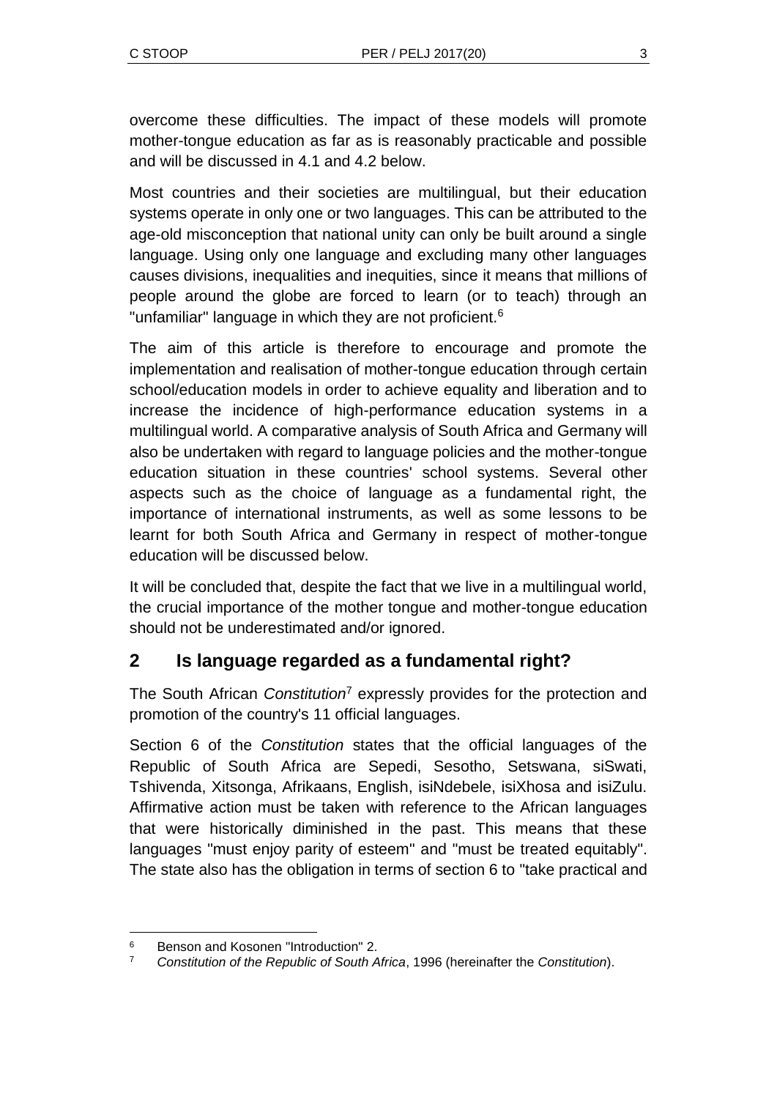overcome these difficulties. The impact of these models will promote mother-tongue education as far as is reasonably practicable and possible and will be discussed in 4.1 and 4.2 below.

Most countries and their societies are multilingual, but their education systems operate in only one or two languages. This can be attributed to the age-old misconception that national unity can only be built around a single language. Using only one language and excluding many other languages causes divisions, inequalities and inequities, since it means that millions of people around the globe are forced to learn (or to teach) through an "unfamiliar" language in which they are not proficient.<sup>6</sup>

The aim of this article is therefore to encourage and promote the implementation and realisation of mother-tongue education through certain school/education models in order to achieve equality and liberation and to increase the incidence of high-performance education systems in a multilingual world. A comparative analysis of South Africa and Germany will also be undertaken with regard to language policies and the mother-tongue education situation in these countries' school systems. Several other aspects such as the choice of language as a fundamental right, the importance of international instruments, as well as some lessons to be learnt for both South Africa and Germany in respect of mother-tongue education will be discussed below.

It will be concluded that, despite the fact that we live in a multilingual world, the crucial importance of the mother tongue and mother-tongue education should not be underestimated and/or ignored.

## **2 Is language regarded as a fundamental right?**

The South African *Constitution*<sup>7</sup> expressly provides for the protection and promotion of the country's 11 official languages.

Section 6 of the *Constitution* states that the official languages of the Republic of South Africa are Sepedi, Sesotho, Setswana, siSwati, Tshivenda, Xitsonga, Afrikaans, English, isiNdebele, isiXhosa and isiZulu. Affirmative action must be taken with reference to the African languages that were historically diminished in the past. This means that these languages "must enjoy parity of esteem" and "must be treated equitably". The state also has the obligation in terms of section 6 to "take practical and

l <sup>6</sup> Benson and Kosonen "Introduction" 2.

<sup>7</sup> *Constitution of the Republic of South Africa*, 1996 (hereinafter the *Constitution*).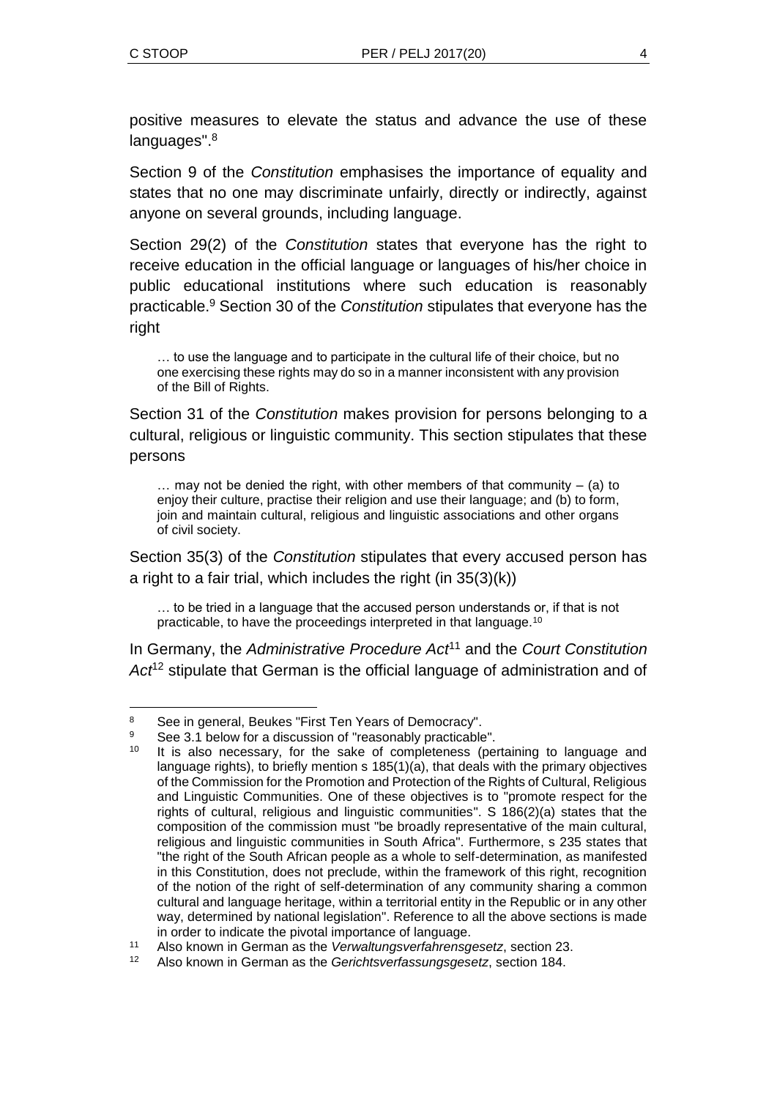positive measures to elevate the status and advance the use of these languages".<sup>8</sup>

Section 9 of the *Constitution* emphasises the importance of equality and states that no one may discriminate unfairly, directly or indirectly, against anyone on several grounds, including language.

Section 29(2) of the *Constitution* states that everyone has the right to receive education in the official language or languages of his/her choice in public educational institutions where such education is reasonably practicable.<sup>9</sup> Section 30 of the *Constitution* stipulates that everyone has the right

… to use the language and to participate in the cultural life of their choice, but no one exercising these rights may do so in a manner inconsistent with any provision of the Bill of Rights.

Section 31 of the *Constitution* makes provision for persons belonging to a cultural, religious or linguistic community. This section stipulates that these persons

 $\ldots$  may not be denied the right, with other members of that community – (a) to enjoy their culture, practise their religion and use their language; and (b) to form, join and maintain cultural, religious and linguistic associations and other organs of civil society.

Section 35(3) of the *Constitution* stipulates that every accused person has a right to a fair trial, which includes the right (in 35(3)(k))

… to be tried in a language that the accused person understands or, if that is not practicable, to have the proceedings interpreted in that language.<sup>10</sup>

In Germany, the *Administrative Procedure Act*<sup>11</sup> and the *Court Constitution Act*<sup>12</sup> stipulate that German is the official language of administration and of

l 8 See in general, Beukes "First Ten Years of Democracy".

<sup>9</sup> See 3.1 below for a discussion of "reasonably practicable".

It is also necessary, for the sake of completeness (pertaining to language and language rights), to briefly mention s 185(1)(a), that deals with the primary objectives of the Commission for the Promotion and Protection of the Rights of Cultural, Religious and Linguistic Communities. One of these objectives is to "promote respect for the rights of cultural, religious and linguistic communities". S 186(2)(a) states that the composition of the commission must "be broadly representative of the main cultural, religious and linguistic communities in South Africa". Furthermore, s 235 states that "the right of the South African people as a whole to self-determination, as manifested in this Constitution, does not preclude, within the framework of this right, recognition of the notion of the right of self-determination of any community sharing a common cultural and language heritage, within a territorial entity in the Republic or in any other way, determined by national legislation". Reference to all the above sections is made in order to indicate the pivotal importance of language.

<sup>11</sup> Also known in German as the *Verwaltungsverfahrensgesetz*, section 23.

<sup>12</sup> Also known in German as the *Gerichtsverfassungsgesetz*, section 184.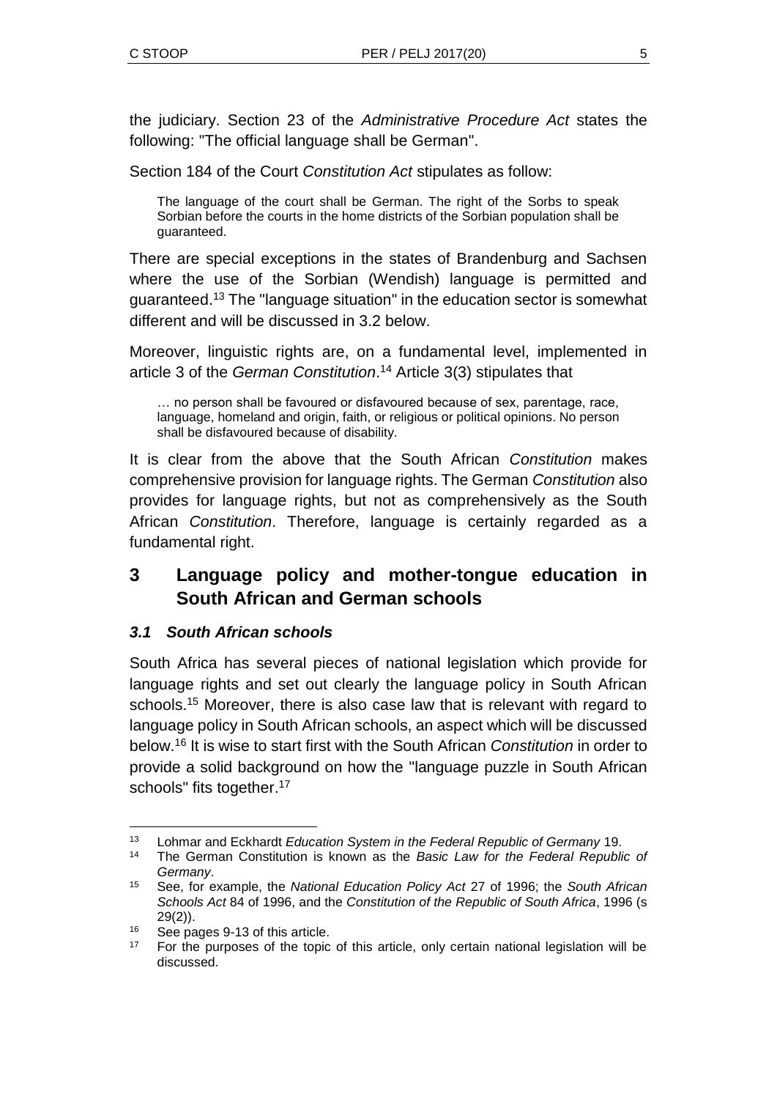the judiciary. Section 23 of the *Administrative Procedure Act* states the following: "The official language shall be German".

Section 184 of the Court *Constitution Act* stipulates as follow:

The language of the court shall be German. The right of the Sorbs to speak Sorbian before the courts in the home districts of the Sorbian population shall be guaranteed.

There are special exceptions in the states of Brandenburg and Sachsen where the use of the Sorbian (Wendish) language is permitted and guaranteed.<sup>13</sup> The "language situation" in the education sector is somewhat different and will be discussed in 3.2 below.

Moreover, linguistic rights are, on a fundamental level, implemented in article 3 of the *German Constitution*. <sup>14</sup> Article 3(3) stipulates that

… no person shall be favoured or disfavoured because of sex, parentage, race, language, homeland and origin, faith, or religious or political opinions. No person shall be disfavoured because of disability.

It is clear from the above that the South African *Constitution* makes comprehensive provision for language rights. The German *Constitution* also provides for language rights, but not as comprehensively as the South African *Constitution*. Therefore, language is certainly regarded as a fundamental right.

## **3 Language policy and mother-tongue education in South African and German schools**

### *3.1 South African schools*

South Africa has several pieces of national legislation which provide for language rights and set out clearly the language policy in South African schools.<sup>15</sup> Moreover, there is also case law that is relevant with regard to language policy in South African schools, an aspect which will be discussed below.<sup>16</sup> It is wise to start first with the South African *Constitution* in order to provide a solid background on how the "language puzzle in South African schools" fits together.<sup>17</sup>

l

<sup>13</sup> Lohmar and Eckhardt *Education System in the Federal Republic of Germany* 19.

<sup>14</sup> The German Constitution is known as the *Basic Law for the Federal Republic of Germany*.

<sup>15</sup> See, for example, the *National Education Policy Act* 27 of 1996; the *South African Schools Act* 84 of 1996, and the *Constitution of the Republic of South Africa*, 1996 (s  $29(2)$ ).

<sup>&</sup>lt;sup>16</sup> See pages 9-13 of this article.

<sup>&</sup>lt;sup>17</sup> For the purposes of the topic of this article, only certain national legislation will be discussed.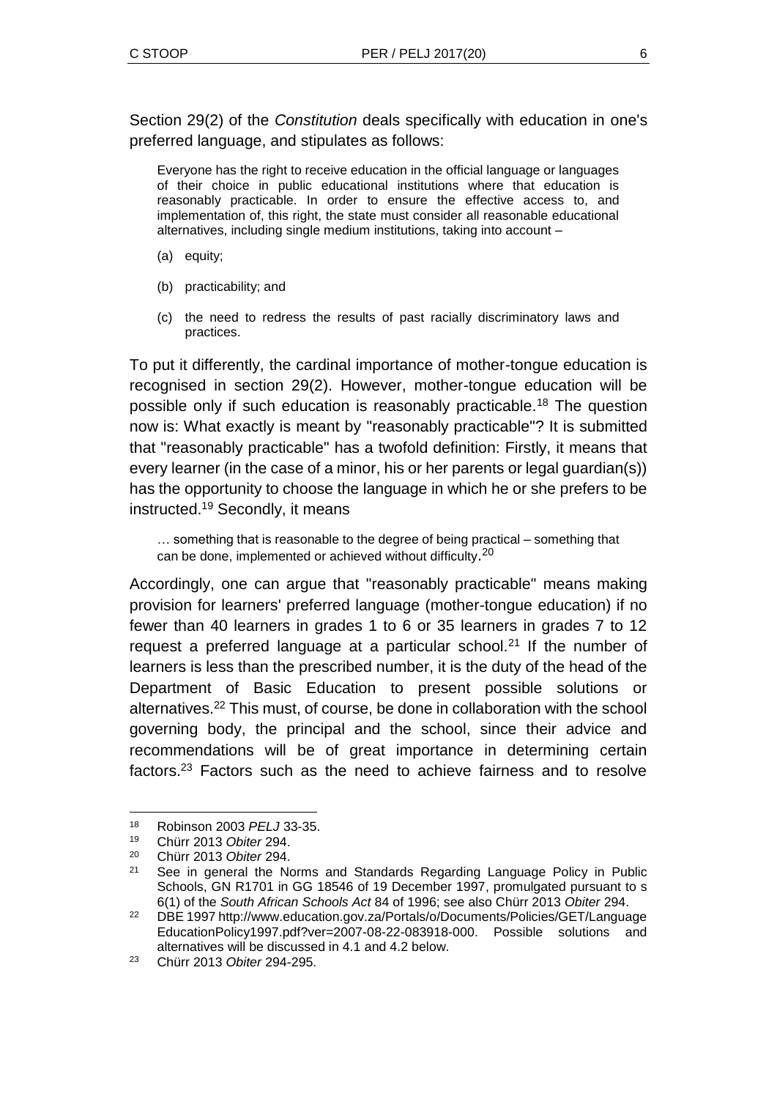Section 29(2) of the *Constitution* deals specifically with education in one's preferred language, and stipulates as follows:

Everyone has the right to receive education in the official language or languages of their choice in public educational institutions where that education is reasonably practicable. In order to ensure the effective access to, and implementation of, this right, the state must consider all reasonable educational alternatives, including single medium institutions, taking into account –

- (a) equity;
- (b) practicability; and
- (c) the need to redress the results of past racially discriminatory laws and practices.

To put it differently, the cardinal importance of mother-tongue education is recognised in section 29(2). However, mother-tongue education will be possible only if such education is reasonably practicable.<sup>18</sup> The question now is: What exactly is meant by "reasonably practicable"? It is submitted that "reasonably practicable" has a twofold definition: Firstly, it means that every learner (in the case of a minor, his or her parents or legal guardian(s)) has the opportunity to choose the language in which he or she prefers to be instructed.<sup>19</sup> Secondly, it means

… something that is reasonable to the degree of being practical – something that can be done, implemented or achieved without difficulty.<sup>20</sup>

Accordingly, one can argue that "reasonably practicable" means making provision for learners' preferred language (mother-tongue education) if no fewer than 40 learners in grades 1 to 6 or 35 learners in grades 7 to 12 request a preferred language at a particular school.<sup>21</sup> If the number of learners is less than the prescribed number, it is the duty of the head of the Department of Basic Education to present possible solutions or alternatives.<sup>22</sup> This must, of course, be done in collaboration with the school governing body, the principal and the school, since their advice and recommendations will be of great importance in determining certain factors.<sup>23</sup> Factors such as the need to achieve fairness and to resolve

l <sup>18</sup> Robinson 2003 *PELJ* 33-35.

<sup>19</sup> Chürr 2013 *Obiter* 294.

<sup>20</sup> Chürr 2013 *Obiter* 294.

<sup>&</sup>lt;sup>21</sup> See in general the Norms and Standards Regarding Language Policy in Public Schools, GN R1701 in GG 18546 of 19 December 1997, promulgated pursuant to s 6(1) of the *South African Schools Act* 84 of 1996; see also Chürr 2013 *Obiter* 294.

<sup>22</sup> DBE 199[7 http://www.education.gov.za/Portals/o/Documents/Policies/GET/Language](http://www.education.gov.za/Portals/o/Documents/Policies/GET/Language) EducationPolicy1997.pdf?ver=2007-08-22-083918-000. Possible solutions and alternatives will be discussed in 4.1 and 4.2 below.

<sup>23</sup> Chürr 2013 *Obiter* 294-295.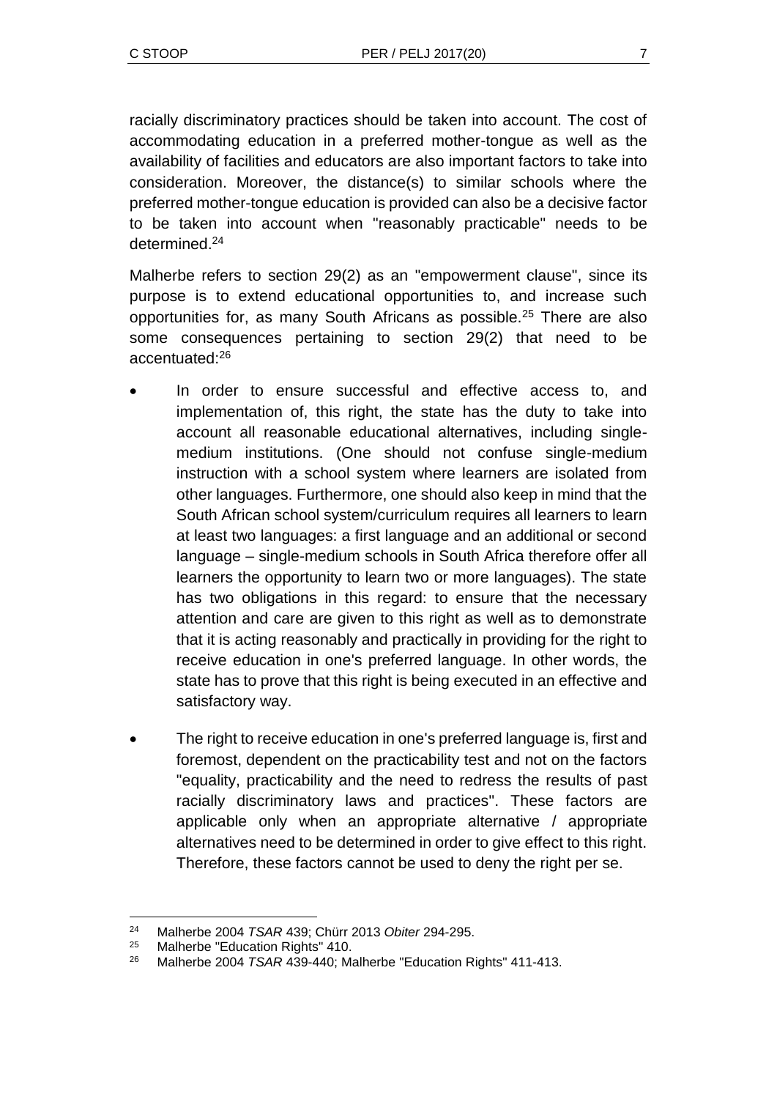racially discriminatory practices should be taken into account. The cost of accommodating education in a preferred mother-tongue as well as the availability of facilities and educators are also important factors to take into consideration. Moreover, the distance(s) to similar schools where the preferred mother-tongue education is provided can also be a decisive factor to be taken into account when "reasonably practicable" needs to be determined.<sup>24</sup>

Malherbe refers to section 29(2) as an "empowerment clause", since its purpose is to extend educational opportunities to, and increase such opportunities for, as many South Africans as possible.<sup>25</sup> There are also some consequences pertaining to section 29(2) that need to be accentuated:<sup>26</sup>

- In order to ensure successful and effective access to, and implementation of, this right, the state has the duty to take into account all reasonable educational alternatives, including singlemedium institutions. (One should not confuse single-medium instruction with a school system where learners are isolated from other languages. Furthermore, one should also keep in mind that the South African school system/curriculum requires all learners to learn at least two languages: a first language and an additional or second language – single-medium schools in South Africa therefore offer all learners the opportunity to learn two or more languages). The state has two obligations in this regard: to ensure that the necessary attention and care are given to this right as well as to demonstrate that it is acting reasonably and practically in providing for the right to receive education in one's preferred language. In other words, the state has to prove that this right is being executed in an effective and satisfactory way.
- The right to receive education in one's preferred language is, first and foremost, dependent on the practicability test and not on the factors "equality, practicability and the need to redress the results of past racially discriminatory laws and practices". These factors are applicable only when an appropriate alternative / appropriate alternatives need to be determined in order to give effect to this right. Therefore, these factors cannot be used to deny the right per se.

 $\overline{a}$ 

<sup>24</sup> Malherbe 2004 *TSAR* 439; Chürr 2013 *Obiter* 294-295.

<sup>25</sup> Malherbe "Education Rights" 410.

<sup>26</sup> Malherbe 2004 *TSAR* 439-440; Malherbe "Education Rights" 411-413.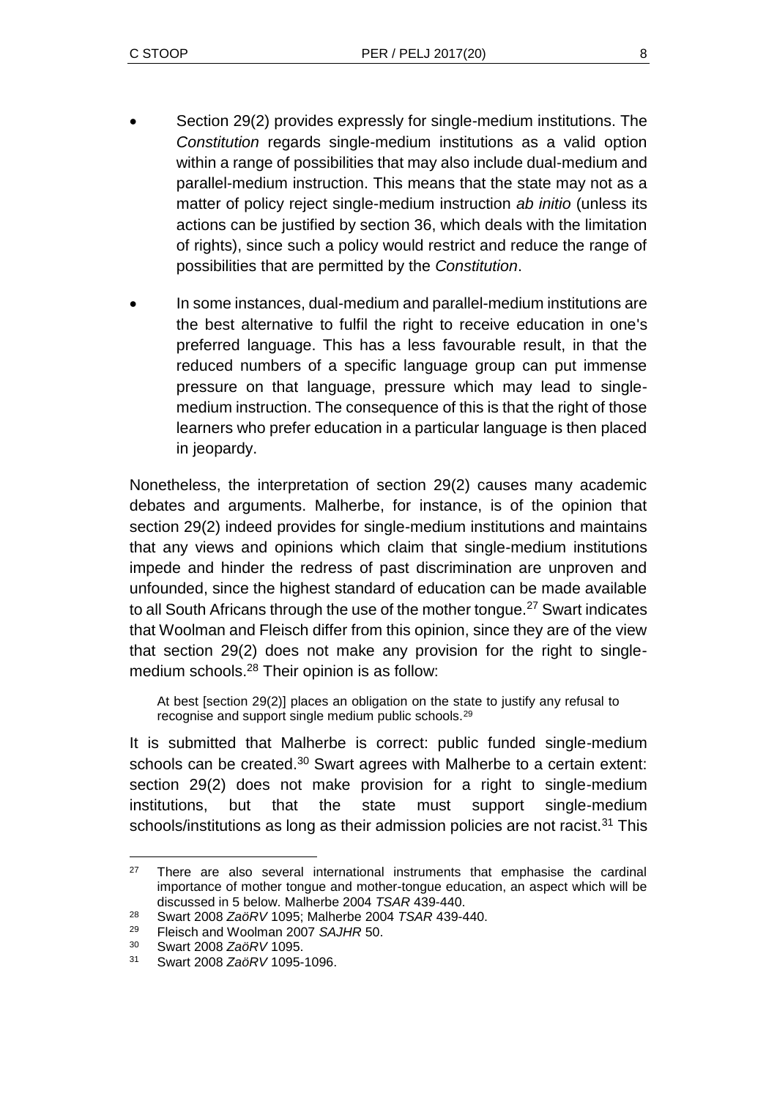- Section 29(2) provides expressly for single-medium institutions. The *Constitution* regards single-medium institutions as a valid option within a range of possibilities that may also include dual-medium and parallel-medium instruction. This means that the state may not as a matter of policy reject single-medium instruction *ab initio* (unless its actions can be justified by section 36, which deals with the limitation of rights), since such a policy would restrict and reduce the range of possibilities that are permitted by the *Constitution*.
- In some instances, dual-medium and parallel-medium institutions are the best alternative to fulfil the right to receive education in one's preferred language. This has a less favourable result, in that the reduced numbers of a specific language group can put immense pressure on that language, pressure which may lead to singlemedium instruction. The consequence of this is that the right of those learners who prefer education in a particular language is then placed in jeopardy.

Nonetheless, the interpretation of section 29(2) causes many academic debates and arguments. Malherbe, for instance, is of the opinion that section 29(2) indeed provides for single-medium institutions and maintains that any views and opinions which claim that single-medium institutions impede and hinder the redress of past discrimination are unproven and unfounded, since the highest standard of education can be made available to all South Africans through the use of the mother tongue.<sup>27</sup> Swart indicates that Woolman and Fleisch differ from this opinion, since they are of the view that section 29(2) does not make any provision for the right to singlemedium schools.<sup>28</sup> Their opinion is as follow:

At best [section 29(2)] places an obligation on the state to justify any refusal to recognise and support single medium public schools.<sup>29</sup>

It is submitted that Malherbe is correct: public funded single-medium schools can be created.<sup>30</sup> Swart agrees with Malherbe to a certain extent: section 29(2) does not make provision for a right to single-medium institutions, but that the state must support single-medium schools/institutions as long as their admission policies are not racist.<sup>31</sup> This

l  $27$  There are also several international instruments that emphasise the cardinal importance of mother tongue and mother-tongue education, an aspect which will be discussed in 5 below. Malherbe 2004 *TSAR* 439-440.

<sup>28</sup> Swart 2008 *ZaöRV* 1095; Malherbe 2004 *TSAR* 439-440.

<sup>29</sup> Fleisch and Woolman 2007 *SAJHR* 50.

<sup>30</sup> Swart 2008 *ZaöRV* 1095.

<sup>31</sup> Swart 2008 *ZaöRV* 1095-1096.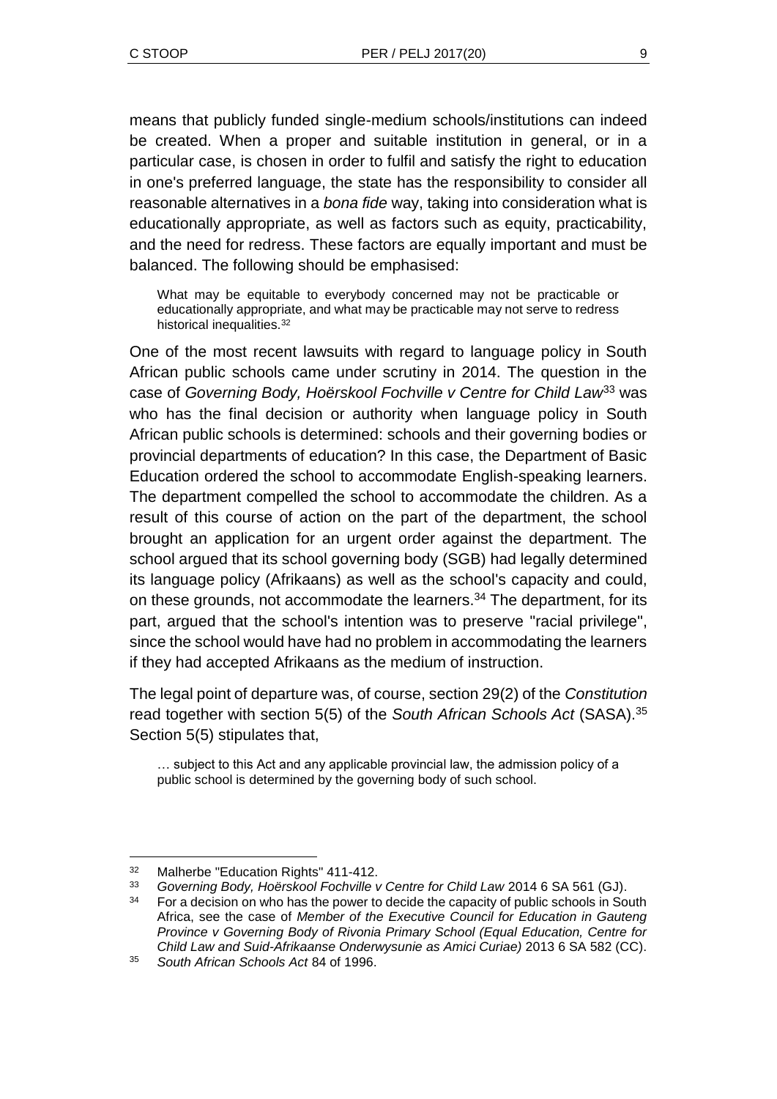means that publicly funded single-medium schools/institutions can indeed be created. When a proper and suitable institution in general, or in a particular case, is chosen in order to fulfil and satisfy the right to education in one's preferred language, the state has the responsibility to consider all reasonable alternatives in a *bona fide* way, taking into consideration what is educationally appropriate, as well as factors such as equity, practicability, and the need for redress. These factors are equally important and must be balanced. The following should be emphasised:

What may be equitable to everybody concerned may not be practicable or educationally appropriate, and what may be practicable may not serve to redress historical inequalities.<sup>32</sup>

One of the most recent lawsuits with regard to language policy in South African public schools came under scrutiny in 2014. The question in the case of *Governing Body, Hoërskool Fochville v Centre for Child Law*<sup>33</sup> was who has the final decision or authority when language policy in South African public schools is determined: schools and their governing bodies or provincial departments of education? In this case, the Department of Basic Education ordered the school to accommodate English-speaking learners. The department compelled the school to accommodate the children. As a result of this course of action on the part of the department, the school brought an application for an urgent order against the department. The school argued that its school governing body (SGB) had legally determined its language policy (Afrikaans) as well as the school's capacity and could, on these grounds, not accommodate the learners.<sup>34</sup> The department, for its part, argued that the school's intention was to preserve "racial privilege", since the school would have had no problem in accommodating the learners if they had accepted Afrikaans as the medium of instruction.

The legal point of departure was, of course, section 29(2) of the *Constitution* read together with section 5(5) of the *South African Schools Act* (SASA).<sup>35</sup> Section 5(5) stipulates that,

… subject to this Act and any applicable provincial law, the admission policy of a public school is determined by the governing body of such school.

l

<sup>32</sup> Malherbe "Education Rights" 411-412.

<sup>33</sup> *Governing Body, Hoërskool Fochville v Centre for Child Law* 2014 6 SA 561 (GJ).

<sup>&</sup>lt;sup>34</sup> For a decision on who has the power to decide the capacity of public schools in South Africa, see the case of *Member of the Executive Council for Education in Gauteng Province v Governing Body of Rivonia Primary School (Equal Education, Centre for Child Law and Suid-Afrikaanse Onderwysunie as Amici Curiae)* 2013 6 SA 582 (CC).

<sup>35</sup> *South African Schools Act* 84 of 1996.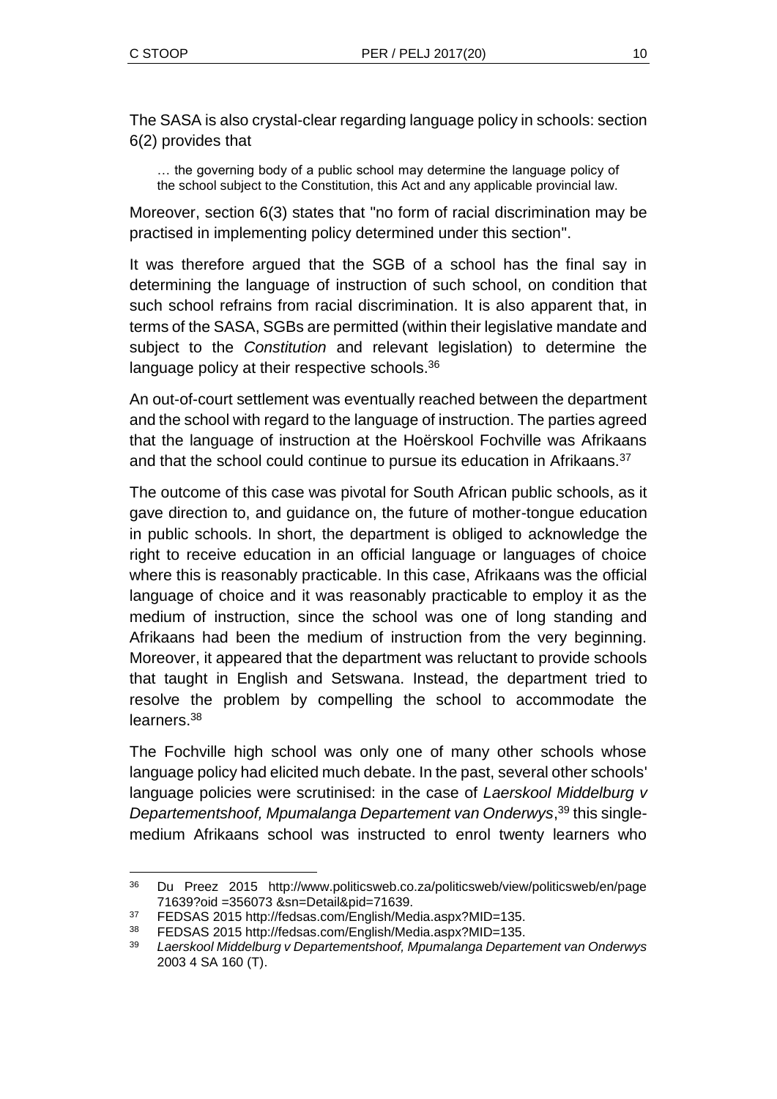l

The SASA is also crystal-clear regarding language policy in schools: section 6(2) provides that

… the governing body of a public school may determine the language policy of the school subject to the Constitution, this Act and any applicable provincial law.

Moreover, section 6(3) states that "no form of racial discrimination may be practised in implementing policy determined under this section".

It was therefore argued that the SGB of a school has the final say in determining the language of instruction of such school, on condition that such school refrains from racial discrimination. It is also apparent that, in terms of the SASA, SGBs are permitted (within their legislative mandate and subject to the *Constitution* and relevant legislation) to determine the language policy at their respective schools.<sup>36</sup>

An out-of-court settlement was eventually reached between the department and the school with regard to the language of instruction. The parties agreed that the language of instruction at the Hoërskool Fochville was Afrikaans and that the school could continue to pursue its education in Afrikaans.<sup>37</sup>

The outcome of this case was pivotal for South African public schools, as it gave direction to, and guidance on, the future of mother-tongue education in public schools. In short, the department is obliged to acknowledge the right to receive education in an official language or languages of choice where this is reasonably practicable. In this case, Afrikaans was the official language of choice and it was reasonably practicable to employ it as the medium of instruction, since the school was one of long standing and Afrikaans had been the medium of instruction from the very beginning. Moreover, it appeared that the department was reluctant to provide schools that taught in English and Setswana. Instead, the department tried to resolve the problem by compelling the school to accommodate the learners.<sup>38</sup>

The Fochville high school was only one of many other schools whose language policy had elicited much debate. In the past, several other schools' language policies were scrutinised: in the case of *Laerskool Middelburg v Departementshoof, Mpumalanga Departement van Onderwys*, <sup>39</sup> this singlemedium Afrikaans school was instructed to enrol twenty learners who

<sup>36</sup> Du Preez 2015 http://www.politicsweb.co.za/politicsweb/view/politicsweb/en/page 71639?oid =356073 &sn=Detail&pid=71639.

<sup>37</sup> FEDSAS 2015 http://fedsas.com/English/Media.aspx?MID=135.

<sup>38</sup> FEDSAS 2015 http://fedsas.com/English/Media.aspx?MID=135.

<sup>39</sup> *Laerskool Middelburg v Departementshoof, Mpumalanga Departement van Onderwys* 2003 4 SA 160 (T).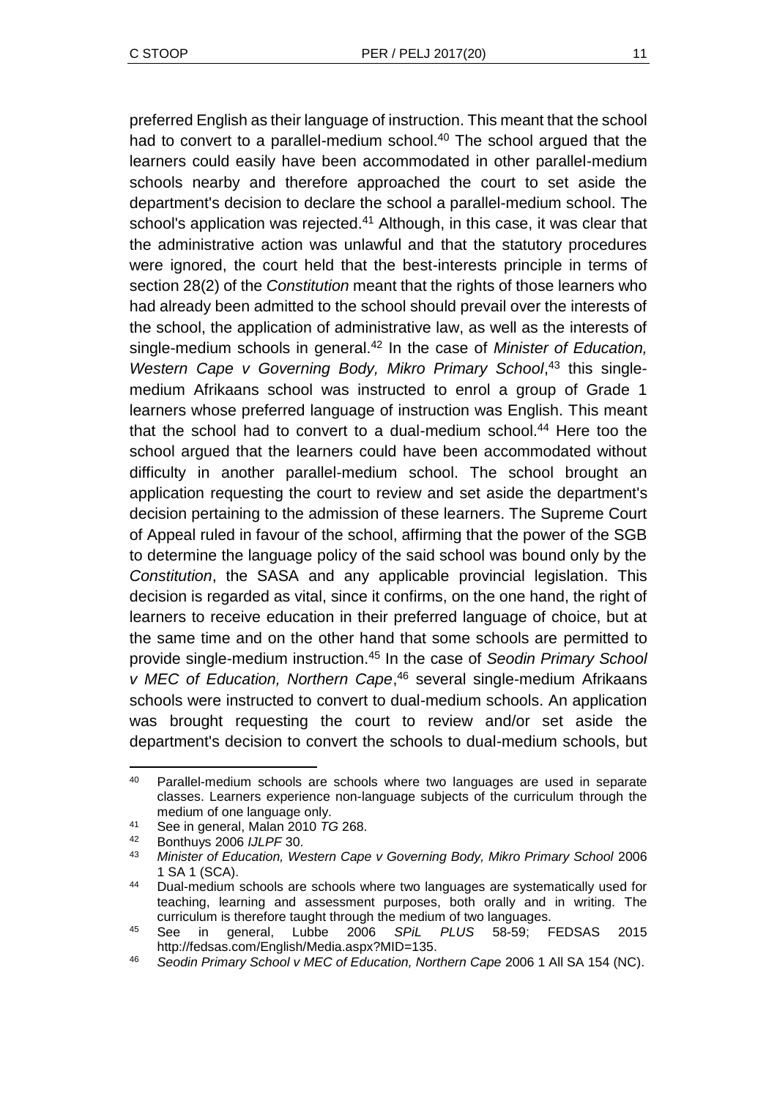preferred English as their language of instruction. This meant that the school had to convert to a parallel-medium school. $40$  The school argued that the learners could easily have been accommodated in other parallel-medium schools nearby and therefore approached the court to set aside the department's decision to declare the school a parallel-medium school. The school's application was rejected.<sup>41</sup> Although, in this case, it was clear that the administrative action was unlawful and that the statutory procedures were ignored, the court held that the best-interests principle in terms of section 28(2) of the *Constitution* meant that the rights of those learners who had already been admitted to the school should prevail over the interests of the school, the application of administrative law, as well as the interests of single-medium schools in general.<sup>42</sup> In the case of *Minister of Education*, Western Cape v Governing Body, Mikro Primary School,<sup>43</sup> this singlemedium Afrikaans school was instructed to enrol a group of Grade 1 learners whose preferred language of instruction was English. This meant that the school had to convert to a dual-medium school.<sup>44</sup> Here too the school argued that the learners could have been accommodated without difficulty in another parallel-medium school. The school brought an application requesting the court to review and set aside the department's decision pertaining to the admission of these learners. The Supreme Court of Appeal ruled in favour of the school, affirming that the power of the SGB to determine the language policy of the said school was bound only by the *Constitution*, the SASA and any applicable provincial legislation. This decision is regarded as vital, since it confirms, on the one hand, the right of learners to receive education in their preferred language of choice, but at the same time and on the other hand that some schools are permitted to provide single-medium instruction.<sup>45</sup> In the case of *Seodin Primary School v MEC of Education, Northern Cape*, <sup>46</sup> several single-medium Afrikaans schools were instructed to convert to dual-medium schools. An application was brought requesting the court to review and/or set aside the department's decision to convert the schools to dual-medium schools, but

l

<sup>&</sup>lt;sup>40</sup> Parallel-medium schools are schools where two languages are used in separate classes. Learners experience non-language subjects of the curriculum through the medium of one language only.

<sup>41</sup> See in general, Malan 2010 *TG* 268.

<sup>42</sup> Bonthuys 2006 *IJLPF* 30.

<sup>43</sup> *Minister of Education, Western Cape v Governing Body, Mikro Primary School* 2006 1 SA 1 (SCA).

<sup>44</sup> Dual-medium schools are schools where two languages are systematically used for teaching, learning and assessment purposes, both orally and in writing. The curriculum is therefore taught through the medium of two languages.

<sup>45</sup> See in general, Lubbe 2006 *SPiL PLUS* 58-59; FEDSAS 2015 http://fedsas.com/English/Media.aspx?MID=135.

<sup>46</sup> *Seodin Primary School v MEC of Education, Northern Cape* 2006 1 All SA 154 (NC).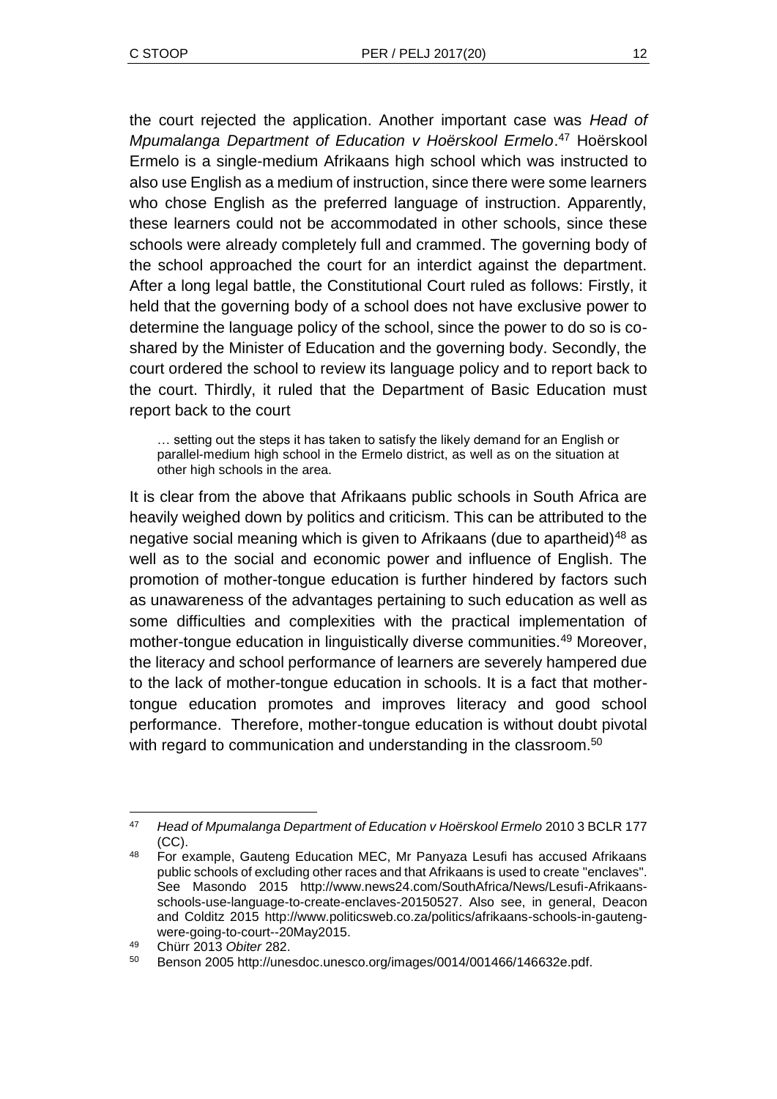the court rejected the application. Another important case was *Head of Mpumalanga Department of Education v Hoërskool Ermelo*. <sup>47</sup> Hoërskool Ermelo is a single-medium Afrikaans high school which was instructed to also use English as a medium of instruction, since there were some learners who chose English as the preferred language of instruction. Apparently, these learners could not be accommodated in other schools, since these schools were already completely full and crammed. The governing body of the school approached the court for an interdict against the department. After a long legal battle, the Constitutional Court ruled as follows: Firstly, it held that the governing body of a school does not have exclusive power to determine the language policy of the school, since the power to do so is coshared by the Minister of Education and the governing body. Secondly, the court ordered the school to review its language policy and to report back to the court. Thirdly, it ruled that the Department of Basic Education must report back to the court

… setting out the steps it has taken to satisfy the likely demand for an English or parallel-medium high school in the Ermelo district, as well as on the situation at other high schools in the area.

It is clear from the above that Afrikaans public schools in South Africa are heavily weighed down by politics and criticism. This can be attributed to the negative social meaning which is given to Afrikaans (due to apartheid)<sup>48</sup> as well as to the social and economic power and influence of English. The promotion of mother-tongue education is further hindered by factors such as unawareness of the advantages pertaining to such education as well as some difficulties and complexities with the practical implementation of mother-tongue education in linguistically diverse communities.<sup>49</sup> Moreover, the literacy and school performance of learners are severely hampered due to the lack of mother-tongue education in schools. It is a fact that mothertongue education promotes and improves literacy and good school performance. Therefore, mother-tongue education is without doubt pivotal with regard to communication and understanding in the classroom.<sup>50</sup>

l <sup>47</sup> *Head of Mpumalanga Department of Education v Hoërskool Ermelo* 2010 3 BCLR 177  $(CC)$ 

<sup>48</sup> For example, Gauteng Education MEC, Mr Panyaza Lesufi has accused Afrikaans public schools of excluding other races and that Afrikaans is used to create "enclaves". See Masondo 2015 http://www.news24.com/SouthAfrica/News/Lesufi-Afrikaansschools-use-language-to-create-enclaves-20150527. Also see, in general, Deacon and Colditz 2015 http://www.politicsweb.co.za/politics/afrikaans-schools-in-gautengwere-going-to-court--20May2015.

<sup>49</sup> Chürr 2013 *Obiter* 282.

<sup>50</sup> Benson 2005 http://unesdoc.unesco.org/images/0014/001466/146632e.pdf.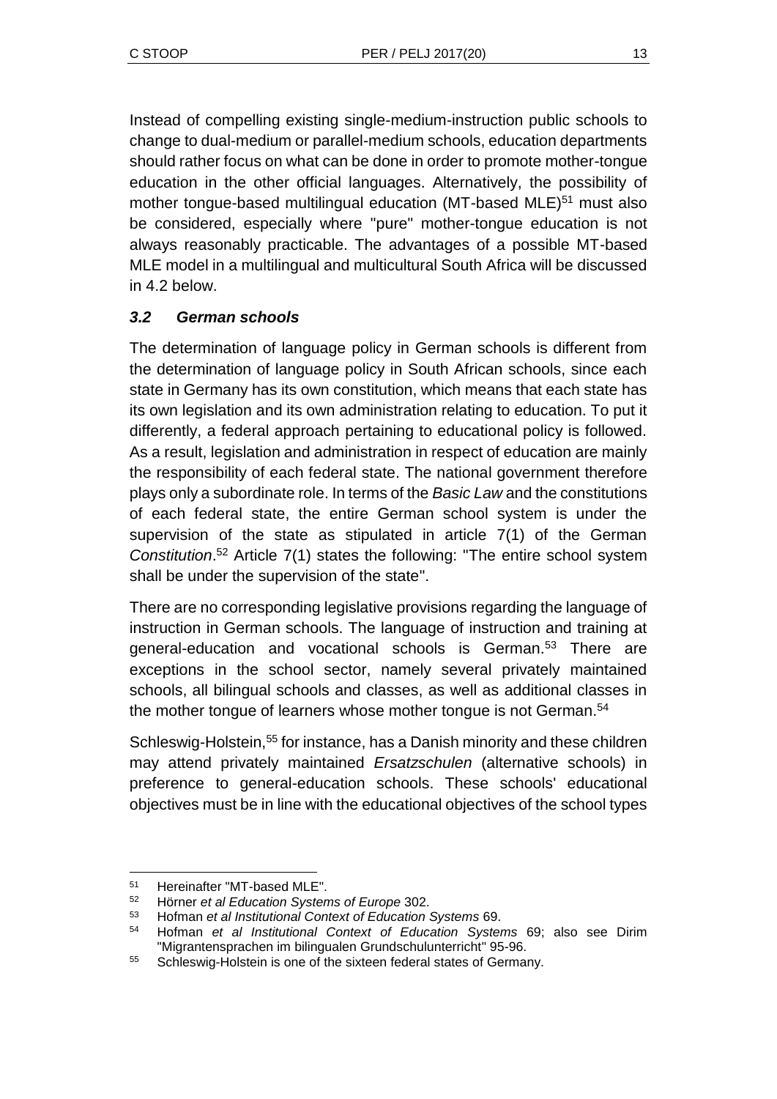Instead of compelling existing single-medium-instruction public schools to change to dual-medium or parallel-medium schools, education departments should rather focus on what can be done in order to promote mother-tongue education in the other official languages. Alternatively, the possibility of mother tongue-based multilingual education (MT-based MLE)<sup>51</sup> must also be considered, especially where "pure" mother-tongue education is not always reasonably practicable. The advantages of a possible MT-based MLE model in a multilingual and multicultural South Africa will be discussed in 4.2 below.

## *3.2 German schools*

The determination of language policy in German schools is different from the determination of language policy in South African schools, since each state in Germany has its own constitution, which means that each state has its own legislation and its own administration relating to education. To put it differently, a federal approach pertaining to educational policy is followed. As a result, legislation and administration in respect of education are mainly the responsibility of each federal state. The national government therefore plays only a subordinate role. In terms of the *Basic Law* and the constitutions of each federal state, the entire German school system is under the supervision of the state as stipulated in article 7(1) of the German *Constitution*. <sup>52</sup> Article 7(1) states the following: "The entire school system shall be under the supervision of the state".

There are no corresponding legislative provisions regarding the language of instruction in German schools. The language of instruction and training at general-education and vocational schools is German.<sup>53</sup> There are exceptions in the school sector, namely several privately maintained schools, all bilingual schools and classes, as well as additional classes in the mother tongue of learners whose mother tongue is not German.<sup>54</sup>

Schleswig-Holstein,<sup>55</sup> for instance, has a Danish minority and these children may attend privately maintained *Ersatzschulen* (alternative schools) in preference to general-education schools. These schools' educational objectives must be in line with the educational objectives of the school types

l

<sup>51</sup> Hereinafter "MT-based MLE".

<sup>52</sup> Hörner *et al Education Systems of Europe* 302.

<sup>53</sup> Hofman *et al Institutional Context of Education Systems* 69.

<sup>54</sup> Hofman *et al Institutional Context of Education Systems* 69; also see Dirim "Migrantensprachen im bilingualen Grundschulunterricht" 95-96.

<sup>55</sup> Schleswig-Holstein is one of the sixteen federal states of Germany.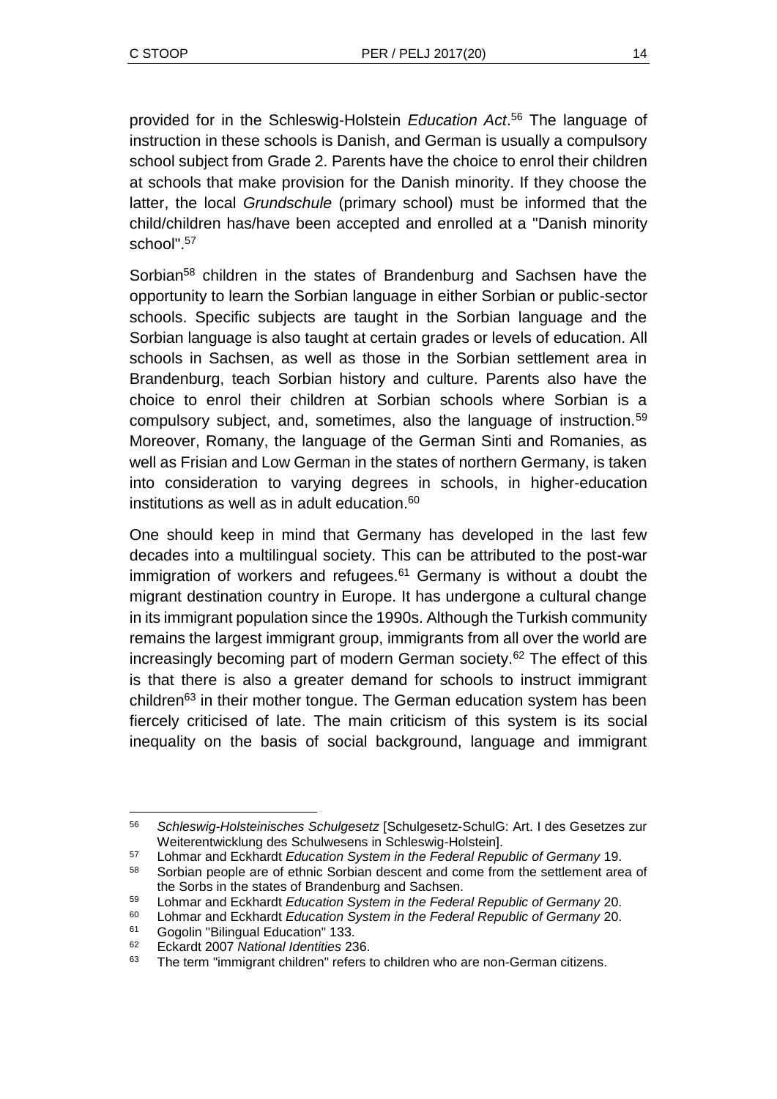provided for in the Schleswig-Holstein *Education Act*. <sup>56</sup> The language of instruction in these schools is Danish, and German is usually a compulsory school subject from Grade 2. Parents have the choice to enrol their children at schools that make provision for the Danish minority. If they choose the latter, the local *Grundschule* (primary school) must be informed that the child/children has/have been accepted and enrolled at a "Danish minority school". 57

Sorbian<sup>58</sup> children in the states of Brandenburg and Sachsen have the opportunity to learn the Sorbian language in either Sorbian or public-sector schools. Specific subjects are taught in the Sorbian language and the Sorbian language is also taught at certain grades or levels of education. All schools in Sachsen, as well as those in the Sorbian settlement area in Brandenburg, teach Sorbian history and culture. Parents also have the choice to enrol their children at Sorbian schools where Sorbian is a compulsory subject, and, sometimes, also the language of instruction.<sup>59</sup> Moreover, Romany, the language of the German Sinti and Romanies, as well as Frisian and Low German in the states of northern Germany, is taken into consideration to varying degrees in schools, in higher-education institutions as well as in adult education.<sup>60</sup>

One should keep in mind that Germany has developed in the last few decades into a multilingual society. This can be attributed to the post-war immigration of workers and refugees. $61$  Germany is without a doubt the migrant destination country in Europe. It has undergone a cultural change in its immigrant population since the 1990s. Although the Turkish community remains the largest immigrant group, immigrants from all over the world are increasingly becoming part of modern German society.<sup>62</sup> The effect of this is that there is also a greater demand for schools to instruct immigrant children<sup>63</sup> in their mother tongue. The German education system has been fiercely criticised of late. The main criticism of this system is its social inequality on the basis of social background, language and immigrant

l <sup>56</sup> *Schleswig-Holsteinisches Schulgesetz* [Schulgesetz-SchulG: Art. I des Gesetzes zur Weiterentwicklung des Schulwesens in Schleswig-Holstein].

<sup>57</sup> Lohmar and Eckhardt *Education System in the Federal Republic of Germany* 19.

<sup>58</sup> Sorbian people are of ethnic Sorbian descent and come from the settlement area of the Sorbs in the states of Brandenburg and Sachsen.

<sup>59</sup> Lohmar and Eckhardt *Education System in the Federal Republic of Germany* 20.

<sup>60</sup> Lohmar and Eckhardt *Education System in the Federal Republic of Germany* 20.

<sup>61</sup> Gogolin "Bilingual Education" 133.

<sup>62</sup> Eckardt 2007 *National Identities* 236.

<sup>&</sup>lt;sup>63</sup> The term "immigrant children" refers to children who are non-German citizens.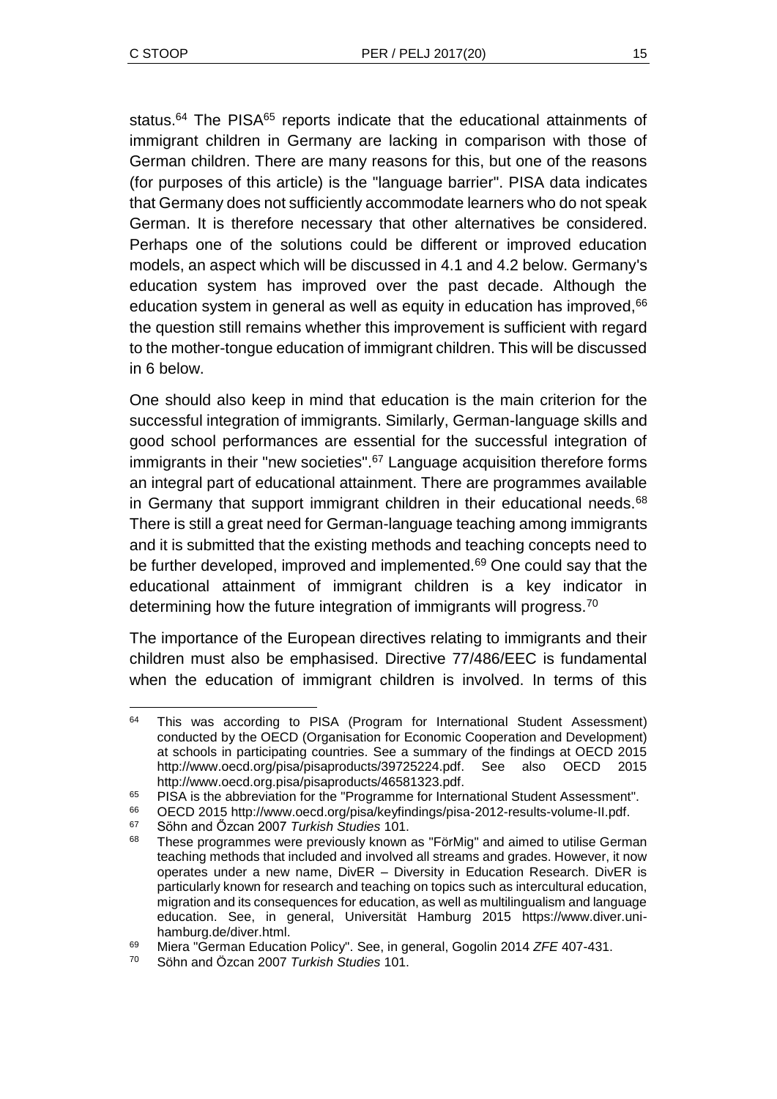status.<sup>64</sup> The PISA<sup>65</sup> reports indicate that the educational attainments of immigrant children in Germany are lacking in comparison with those of German children. There are many reasons for this, but one of the reasons (for purposes of this article) is the "language barrier". PISA data indicates that Germany does not sufficiently accommodate learners who do not speak German. It is therefore necessary that other alternatives be considered. Perhaps one of the solutions could be different or improved education models, an aspect which will be discussed in 4.1 and 4.2 below. Germany's education system has improved over the past decade. Although the education system in general as well as equity in education has improved, <sup>66</sup> the question still remains whether this improvement is sufficient with regard to the mother-tongue education of immigrant children. This will be discussed in 6 below.

One should also keep in mind that education is the main criterion for the successful integration of immigrants. Similarly, German-language skills and good school performances are essential for the successful integration of immigrants in their "new societies".<sup>67</sup> Language acquisition therefore forms an integral part of educational attainment. There are programmes available in Germany that support immigrant children in their educational needs.<sup>68</sup> There is still a great need for German-language teaching among immigrants and it is submitted that the existing methods and teaching concepts need to be further developed, improved and implemented.<sup>69</sup> One could say that the educational attainment of immigrant children is a key indicator in determining how the future integration of immigrants will progress.<sup>70</sup>

The importance of the European directives relating to immigrants and their children must also be emphasised. Directive 77/486/EEC is fundamental when the education of immigrant children is involved. In terms of this

l <sup>64</sup> This was according to PISA (Program for International Student Assessment) conducted by the OECD (Organisation for Economic Cooperation and Development) at schools in participating countries. See a summary of the findings at OECD 2015 http://www.oecd.org/pisa/pisaproducts/39725224.pdf. See also OECD 2015 http://www.oecd.org.pisa/pisaproducts/46581323.pdf.

<sup>65</sup> PISA is the abbreviation for the "Programme for International Student Assessment".<br>66 OECD 2015 http://www.oecd.org/pisa/keyfindings/pisa-2012-results-volume-II ndf

<sup>66</sup> OECD 2015 http://www.oecd.org/pisa/keyfindings/pisa-2012-results-volume-II.pdf.<br>67 Söbp and Özesp 2007 Turkish Studies 101

<sup>67</sup> Söhn and Őzcan 2007 *Turkish Studies* 101.

<sup>&</sup>lt;sup>68</sup> These programmes were previously known as "FörMig" and aimed to utilise German teaching methods that included and involved all streams and grades. However, it now operates under a new name, DivER – Diversity in Education Research. DivER is particularly known for research and teaching on topics such as intercultural education, migration and its consequences for education, as well as multilingualism and language education. See, in general, Universität Hamburg 2015 https://www.diver.unihamburg.de/diver.html.

<sup>69</sup> Miera "German Education Policy". See, in general, Gogolin 2014 *ZFE* 407-431.

<sup>70</sup> Söhn and Özcan 2007 *Turkish Studies* 101.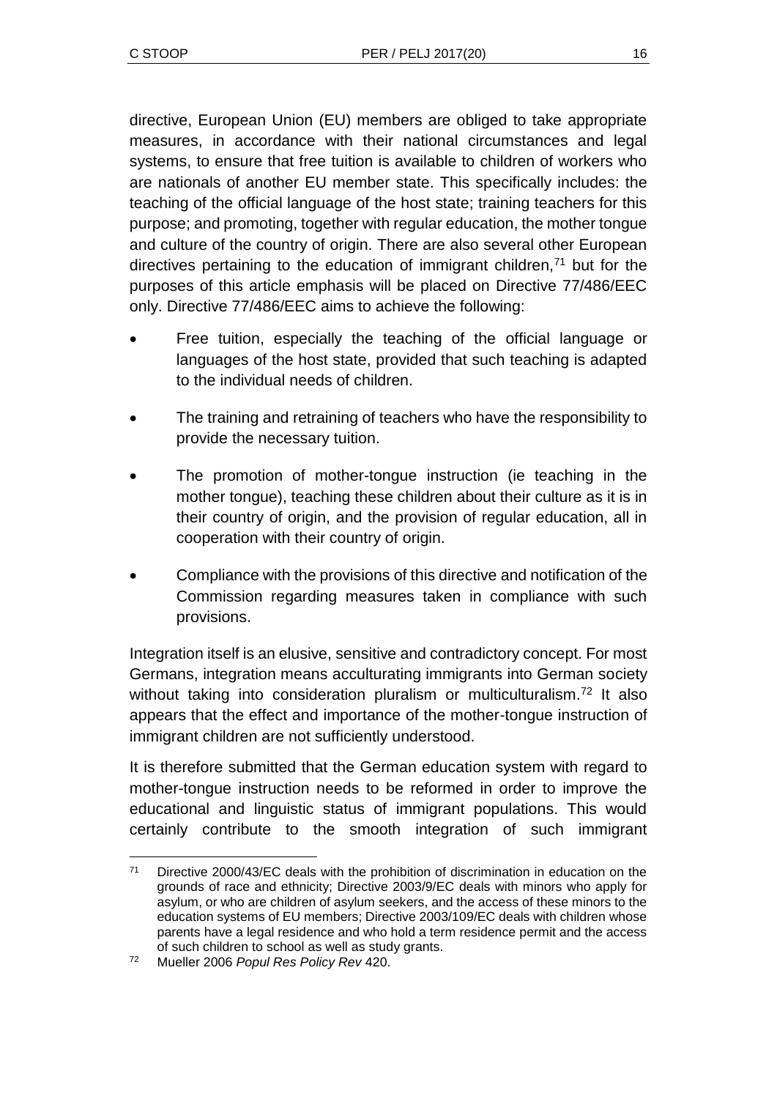directive, European Union (EU) members are obliged to take appropriate measures, in accordance with their national circumstances and legal systems, to ensure that free tuition is available to children of workers who are nationals of another EU member state. This specifically includes: the teaching of the official language of the host state; training teachers for this purpose; and promoting, together with regular education, the mother tongue and culture of the country of origin. There are also several other European directives pertaining to the education of immigrant children, $<sup>71</sup>$  but for the</sup> purposes of this article emphasis will be placed on Directive 77/486/EEC only. Directive 77/486/EEC aims to achieve the following:

- Free tuition, especially the teaching of the official language or languages of the host state, provided that such teaching is adapted to the individual needs of children.
- The training and retraining of teachers who have the responsibility to provide the necessary tuition.
- The promotion of mother-tongue instruction (ie teaching in the mother tongue), teaching these children about their culture as it is in their country of origin, and the provision of regular education, all in cooperation with their country of origin.
- Compliance with the provisions of this directive and notification of the Commission regarding measures taken in compliance with such provisions.

Integration itself is an elusive, sensitive and contradictory concept. For most Germans, integration means acculturating immigrants into German society without taking into consideration pluralism or multiculturalism.<sup>72</sup> It also appears that the effect and importance of the mother-tongue instruction of immigrant children are not sufficiently understood.

It is therefore submitted that the German education system with regard to mother-tongue instruction needs to be reformed in order to improve the educational and linguistic status of immigrant populations. This would certainly contribute to the smooth integration of such immigrant

l

<sup>&</sup>lt;sup>71</sup> Directive 2000/43/EC deals with the prohibition of discrimination in education on the grounds of race and ethnicity; Directive 2003/9/EC deals with minors who apply for asylum, or who are children of asylum seekers, and the access of these minors to the education systems of EU members; Directive 2003/109/EC deals with children whose parents have a legal residence and who hold a term residence permit and the access of such children to school as well as study grants.

<sup>72</sup> Mueller 2006 *Popul Res Policy Rev* 420.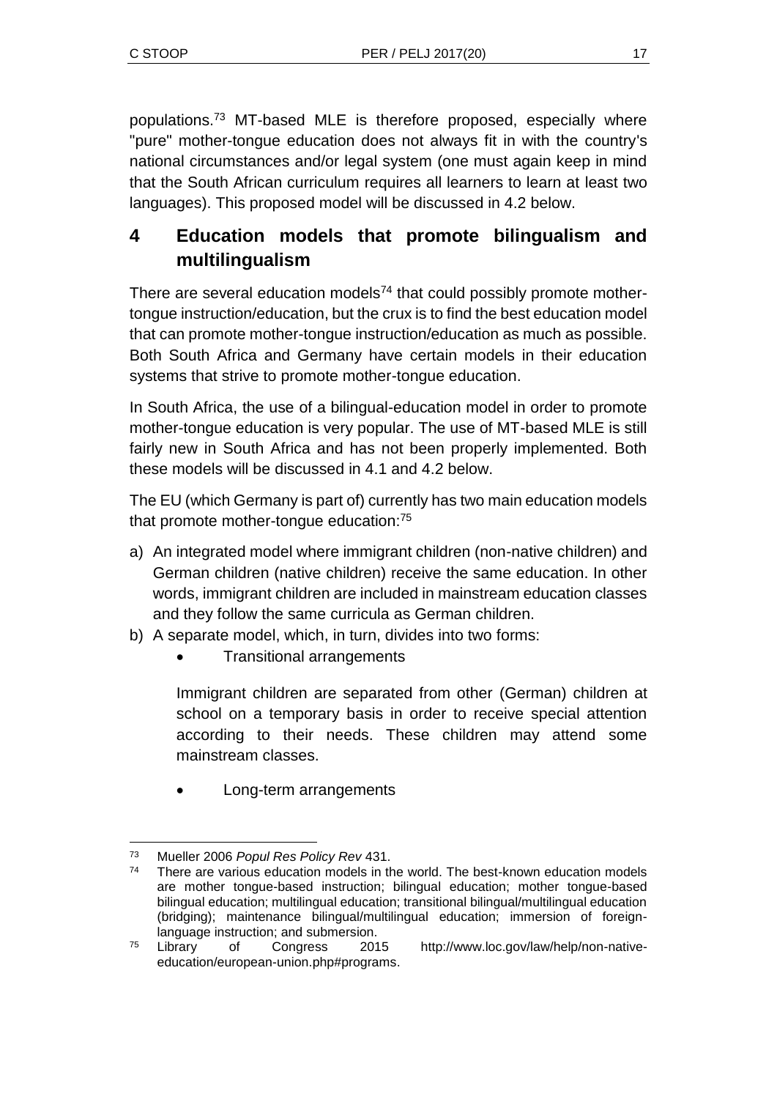populations.<sup>73</sup> MT-based MLE is therefore proposed, especially where "pure" mother-tongue education does not always fit in with the country's national circumstances and/or legal system (one must again keep in mind that the South African curriculum requires all learners to learn at least two languages). This proposed model will be discussed in 4.2 below.

# **4 Education models that promote bilingualism and multilingualism**

There are several education models<sup>74</sup> that could possibly promote mothertongue instruction/education, but the crux is to find the best education model that can promote mother-tongue instruction/education as much as possible. Both South Africa and Germany have certain models in their education systems that strive to promote mother-tongue education.

In South Africa, the use of a bilingual-education model in order to promote mother-tongue education is very popular. The use of MT-based MLE is still fairly new in South Africa and has not been properly implemented. Both these models will be discussed in 4.1 and 4.2 below.

The EU (which Germany is part of) currently has two main education models that promote mother-tongue education:<sup>75</sup>

- a) An integrated model where immigrant children (non-native children) and German children (native children) receive the same education. In other words, immigrant children are included in mainstream education classes and they follow the same curricula as German children.
- b) A separate model, which, in turn, divides into two forms:
	- Transitional arrangements

Immigrant children are separated from other (German) children at school on a temporary basis in order to receive special attention according to their needs. These children may attend some mainstream classes.

Long-term arrangements

l <sup>73</sup> Mueller 2006 *Popul Res Policy Rev* 431.

<sup>74</sup> There are various education models in the world. The best-known education models are mother tongue-based instruction; bilingual education; mother tongue-based bilingual education; multilingual education; transitional bilingual/multilingual education (bridging); maintenance bilingual/multilingual education; immersion of foreignlanguage instruction; and submersion.

<sup>75</sup> Library of Congress 2015 http://www.loc.gov/law/help/non-nativeeducation/european-union.php#programs.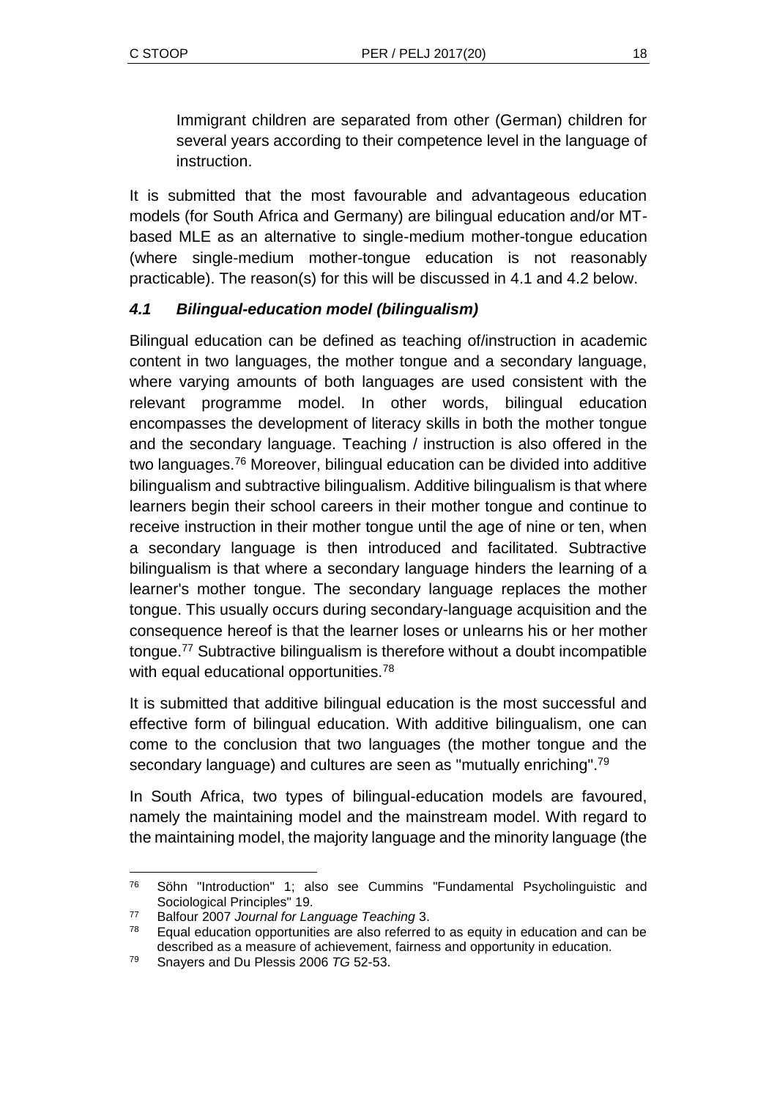Immigrant children are separated from other (German) children for several years according to their competence level in the language of instruction.

It is submitted that the most favourable and advantageous education models (for South Africa and Germany) are bilingual education and/or MTbased MLE as an alternative to single-medium mother-tongue education (where single-medium mother-tongue education is not reasonably practicable). The reason(s) for this will be discussed in 4.1 and 4.2 below.

## *4.1 Bilingual-education model (bilingualism)*

Bilingual education can be defined as teaching of/instruction in academic content in two languages, the mother tongue and a secondary language, where varying amounts of both languages are used consistent with the relevant programme model. In other words, bilingual education encompasses the development of literacy skills in both the mother tongue and the secondary language. Teaching / instruction is also offered in the two languages.<sup>76</sup> Moreover, bilingual education can be divided into additive bilingualism and subtractive bilingualism. Additive bilingualism is that where learners begin their school careers in their mother tongue and continue to receive instruction in their mother tongue until the age of nine or ten, when a secondary language is then introduced and facilitated. Subtractive bilingualism is that where a secondary language hinders the learning of a learner's mother tongue. The secondary language replaces the mother tongue. This usually occurs during secondary-language acquisition and the consequence hereof is that the learner loses or unlearns his or her mother tongue.<sup>77</sup> Subtractive bilingualism is therefore without a doubt incompatible with equal educational opportunities.<sup>78</sup>

It is submitted that additive bilingual education is the most successful and effective form of bilingual education. With additive bilingualism, one can come to the conclusion that two languages (the mother tongue and the secondary language) and cultures are seen as "mutually enriching".<sup>79</sup>

In South Africa, two types of bilingual-education models are favoured, namely the maintaining model and the mainstream model. With regard to the maintaining model, the majority language and the minority language (the

l <sup>76</sup> Söhn "Introduction" 1; also see Cummins "Fundamental Psycholinguistic and Sociological Principles" 19.

<sup>77</sup> Balfour 2007 *Journal for Language Teaching* 3.

 $78$  Equal education opportunities are also referred to as equity in education and can be described as a measure of achievement, fairness and opportunity in education.

<sup>79</sup> Snayers and Du Plessis 2006 *TG* 52-53.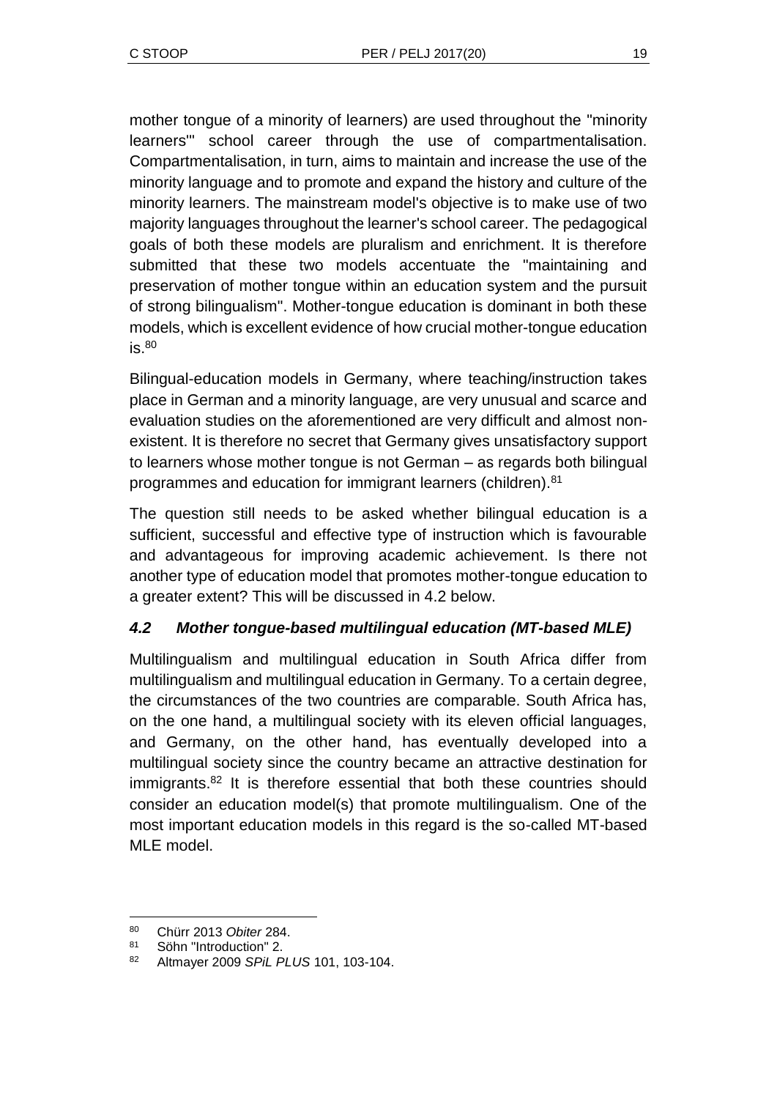mother tongue of a minority of learners) are used throughout the "minority learners'" school career through the use of compartmentalisation. Compartmentalisation, in turn, aims to maintain and increase the use of the minority language and to promote and expand the history and culture of the minority learners. The mainstream model's objective is to make use of two majority languages throughout the learner's school career. The pedagogical goals of both these models are pluralism and enrichment. It is therefore submitted that these two models accentuate the "maintaining and preservation of mother tongue within an education system and the pursuit of strong bilingualism". Mother-tongue education is dominant in both these models, which is excellent evidence of how crucial mother-tongue education  $is.80$ 

Bilingual-education models in Germany, where teaching/instruction takes place in German and a minority language, are very unusual and scarce and evaluation studies on the aforementioned are very difficult and almost nonexistent. It is therefore no secret that Germany gives unsatisfactory support to learners whose mother tongue is not German – as regards both bilingual programmes and education for immigrant learners (children).<sup>81</sup>

The question still needs to be asked whether bilingual education is a sufficient, successful and effective type of instruction which is favourable and advantageous for improving academic achievement. Is there not another type of education model that promotes mother-tongue education to a greater extent? This will be discussed in 4.2 below.

## *4.2 Mother tongue-based multilingual education (MT-based MLE)*

Multilingualism and multilingual education in South Africa differ from multilingualism and multilingual education in Germany. To a certain degree, the circumstances of the two countries are comparable. South Africa has, on the one hand, a multilingual society with its eleven official languages, and Germany, on the other hand, has eventually developed into a multilingual society since the country became an attractive destination for immigrants.<sup>82</sup> It is therefore essential that both these countries should consider an education model(s) that promote multilingualism. One of the most important education models in this regard is the so-called MT-based MLE model.

 $\overline{a}$ <sup>80</sup> Chürr 2013 *Obiter* 284.

<sup>81</sup> Söhn "Introduction" 2.

<sup>82</sup> Altmayer 2009 *SPiL PLUS* 101, 103-104.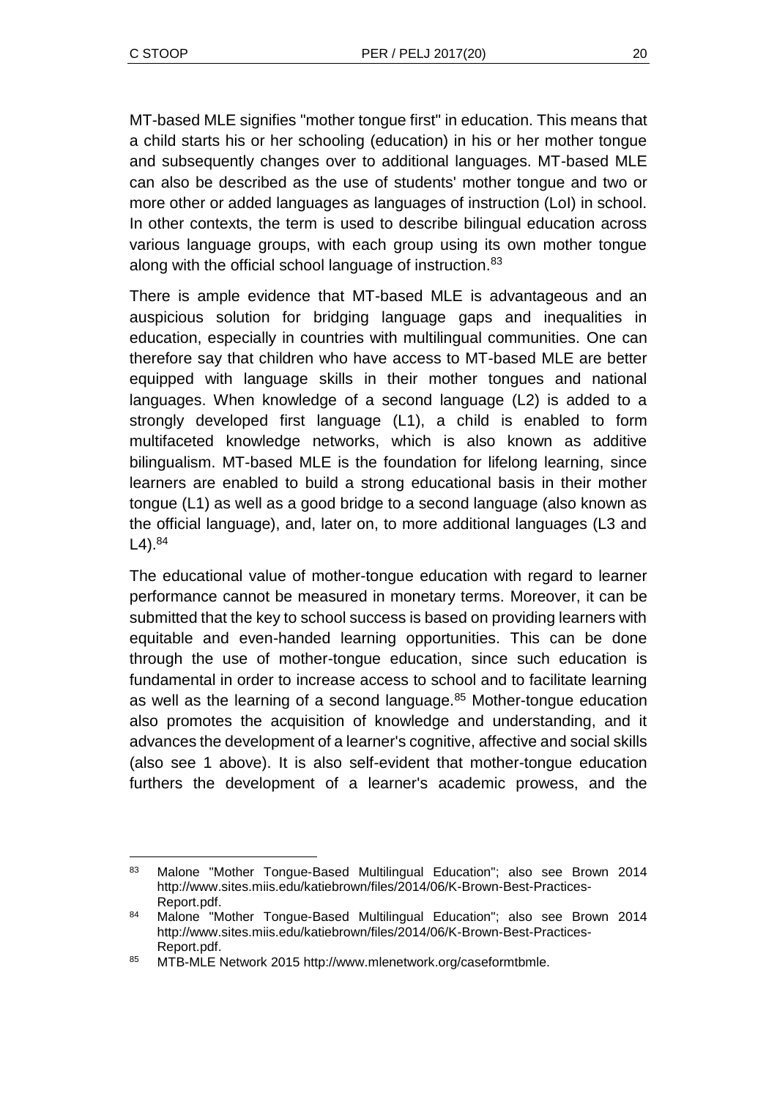l

MT-based MLE signifies "mother tongue first" in education. This means that a child starts his or her schooling (education) in his or her mother tongue and subsequently changes over to additional languages. MT-based MLE can also be described as the use of students' mother tongue and two or more other or added languages as languages of instruction (LoI) in school. In other contexts, the term is used to describe bilingual education across various language groups, with each group using its own mother tongue along with the official school language of instruction.<sup>83</sup>

There is ample evidence that MT-based MLE is advantageous and an auspicious solution for bridging language gaps and inequalities in education, especially in countries with multilingual communities. One can therefore say that children who have access to MT-based MLE are better equipped with language skills in their mother tongues and national languages. When knowledge of a second language (L2) is added to a strongly developed first language (L1), a child is enabled to form multifaceted knowledge networks, which is also known as additive bilingualism. MT-based MLE is the foundation for lifelong learning, since learners are enabled to build a strong educational basis in their mother tongue (L1) as well as a good bridge to a second language (also known as the official language), and, later on, to more additional languages (L3 and  $L4$ ).  $84$ 

The educational value of mother-tongue education with regard to learner performance cannot be measured in monetary terms. Moreover, it can be submitted that the key to school success is based on providing learners with equitable and even-handed learning opportunities. This can be done through the use of mother-tongue education, since such education is fundamental in order to increase access to school and to facilitate learning as well as the learning of a second language.<sup>85</sup> Mother-tongue education also promotes the acquisition of knowledge and understanding, and it advances the development of a learner's cognitive, affective and social skills (also see 1 above). It is also self-evident that mother-tongue education furthers the development of a learner's academic prowess, and the

<sup>83</sup> Malone "Mother Tongue-Based Multilingual Education"; also see Brown 2014 http://www.sites.miis.edu/katiebrown/files/2014/06/K-Brown-Best-Practices-Report.pdf.

<sup>84</sup> Malone "Mother Tongue-Based Multilingual Education"; also see Brown 2014 http://www.sites.miis.edu/katiebrown/files/2014/06/K-Brown-Best-Practices-Report.pdf.

<sup>85</sup> MTB-MLE Network 2015 http://www.mlenetwork.org/caseformtbmle.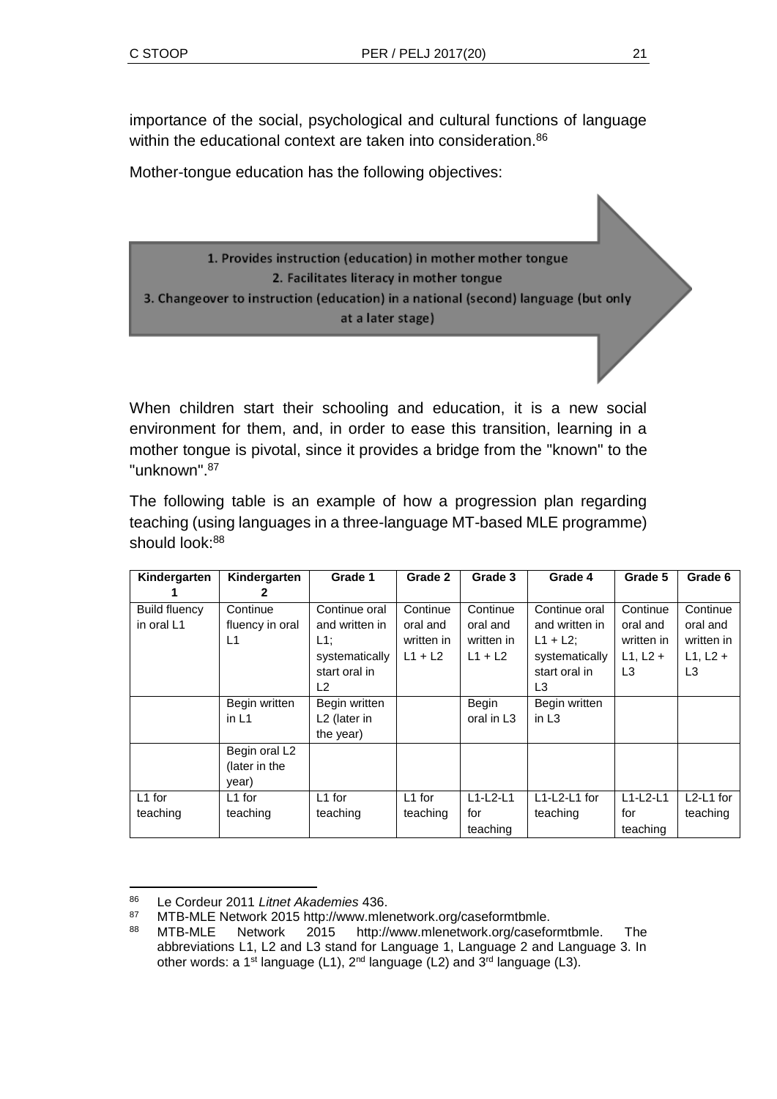importance of the social, psychological and cultural functions of language within the educational context are taken into consideration.<sup>86</sup>

Mother-tongue education has the following objectives:

1. Provides instruction (education) in mother mother tongue 2. Facilitates literacy in mother tongue 3. Changeover to instruction (education) in a national (second) language (but only at a later stage)

When children start their schooling and education, it is a new social environment for them, and, in order to ease this transition, learning in a mother tongue is pivotal, since it provides a bridge from the "known" to the "unknown". 87

The following table is an example of how a progression plan regarding teaching (using languages in a three-language MT-based MLE programme) should  $\text{look} \cdot 88$ 

| Kindergarten         | Kindergarten    | Grade 1                  | Grade 2    | Grade 3                | Grade 4        | Grade 5    | Grade 6        |
|----------------------|-----------------|--------------------------|------------|------------------------|----------------|------------|----------------|
|                      | 2               |                          |            |                        |                |            |                |
| <b>Build fluency</b> | Continue        | Continue oral            | Continue   | Continue               | Continue oral  | Continue   | Continue       |
| in oral L1           | fluency in oral | and written in           | oral and   | oral and               | and written in | oral and   | oral and       |
|                      | L1              | $L1$ :                   | written in | written in             | $L1 + L2$ ;    | written in | written in     |
|                      |                 | systematically           | $L1 + L2$  | $L1 + L2$              | systematically | $L1, L2 +$ | $L1, L2 +$     |
|                      |                 | start oral in            |            |                        | start oral in  | L3         | L <sub>3</sub> |
|                      |                 | L2                       |            |                        | L3             |            |                |
|                      | Begin written   | Begin written            |            | Begin                  | Begin written  |            |                |
|                      | in $L1$         | L <sub>2</sub> (later in |            | oral in L <sub>3</sub> | in $L3$        |            |                |
|                      |                 | the year)                |            |                        |                |            |                |
|                      | Begin oral L2   |                          |            |                        |                |            |                |
|                      | (later in the   |                          |            |                        |                |            |                |
|                      | year)           |                          |            |                        |                |            |                |
| $L1$ for             | $L1$ for        | L1 for                   | $L1$ for   | $L1-L2-L1$             | $L1-L2-L1$ for | $L1-L2-L1$ | $L2-L1$ for    |
| teaching             | teaching        | teaching                 | teaching   | for                    | teaching       | for        | teaching       |
|                      |                 |                          |            | teaching               |                | teaching   |                |

l <sup>86</sup> Le Cordeur 2011 *Litnet Akademies* 436.

<sup>87</sup> MTB-MLE Network 2015 http://www.mlenetwork.org/caseformtbmle.

<sup>88</sup> MTB-MLE Network 2015 http://www.mlenetwork.org/caseformtbmle. The abbreviations L1, L2 and L3 stand for Language 1, Language 2 and Language 3. In other words: a 1<sup>st</sup> language (L1), 2<sup>nd</sup> language (L2) and 3<sup>rd</sup> language (L3).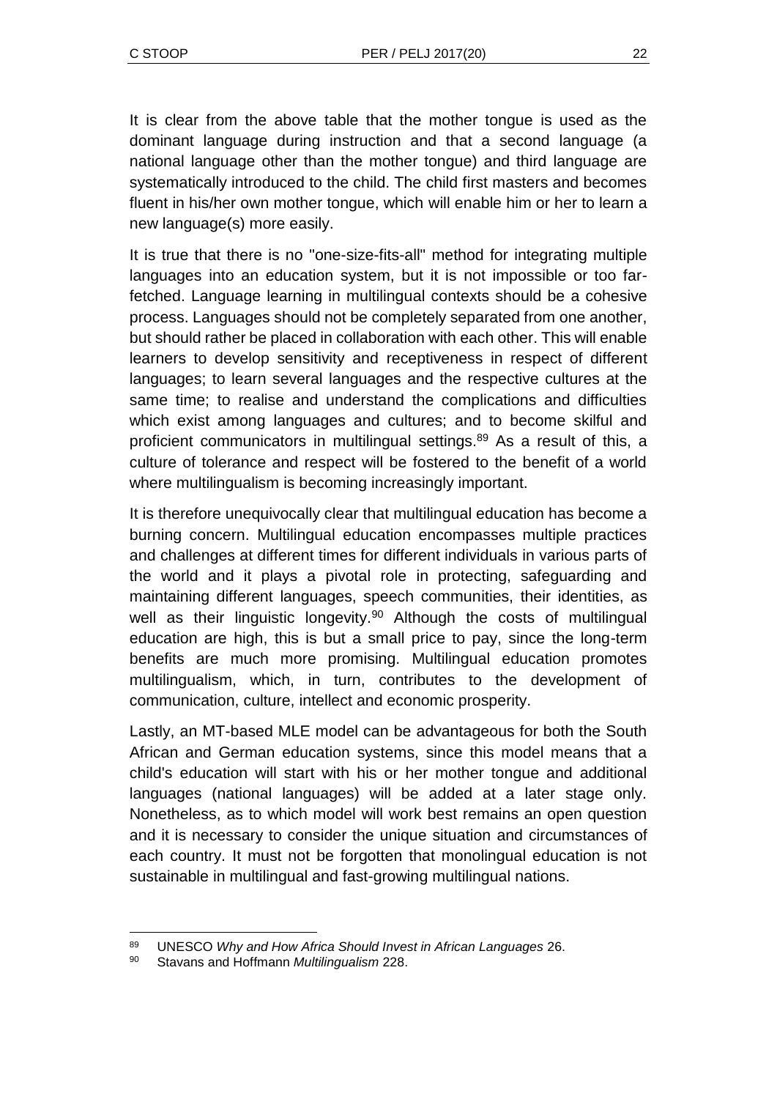It is clear from the above table that the mother tongue is used as the dominant language during instruction and that a second language (a national language other than the mother tongue) and third language are systematically introduced to the child. The child first masters and becomes fluent in his/her own mother tongue, which will enable him or her to learn a new language(s) more easily.

It is true that there is no "one-size-fits-all" method for integrating multiple languages into an education system, but it is not impossible or too farfetched. Language learning in multilingual contexts should be a cohesive process. Languages should not be completely separated from one another, but should rather be placed in collaboration with each other. This will enable learners to develop sensitivity and receptiveness in respect of different languages; to learn several languages and the respective cultures at the same time; to realise and understand the complications and difficulties which exist among languages and cultures; and to become skilful and proficient communicators in multilingual settings.<sup>89</sup> As a result of this, a culture of tolerance and respect will be fostered to the benefit of a world where multilingualism is becoming increasingly important.

It is therefore unequivocally clear that multilingual education has become a burning concern. Multilingual education encompasses multiple practices and challenges at different times for different individuals in various parts of the world and it plays a pivotal role in protecting, safeguarding and maintaining different languages, speech communities, their identities, as well as their linguistic longevity.<sup>90</sup> Although the costs of multilingual education are high, this is but a small price to pay, since the long-term benefits are much more promising. Multilingual education promotes multilingualism, which, in turn, contributes to the development of communication, culture, intellect and economic prosperity.

Lastly, an MT-based MLE model can be advantageous for both the South African and German education systems, since this model means that a child's education will start with his or her mother tongue and additional languages (national languages) will be added at a later stage only. Nonetheless, as to which model will work best remains an open question and it is necessary to consider the unique situation and circumstances of each country. It must not be forgotten that monolingual education is not sustainable in multilingual and fast-growing multilingual nations.

l <sup>89</sup> UNESCO *Why and How Africa Should Invest in African Languages* 26.

<sup>90</sup> Stavans and Hoffmann *Multilingualism* 228.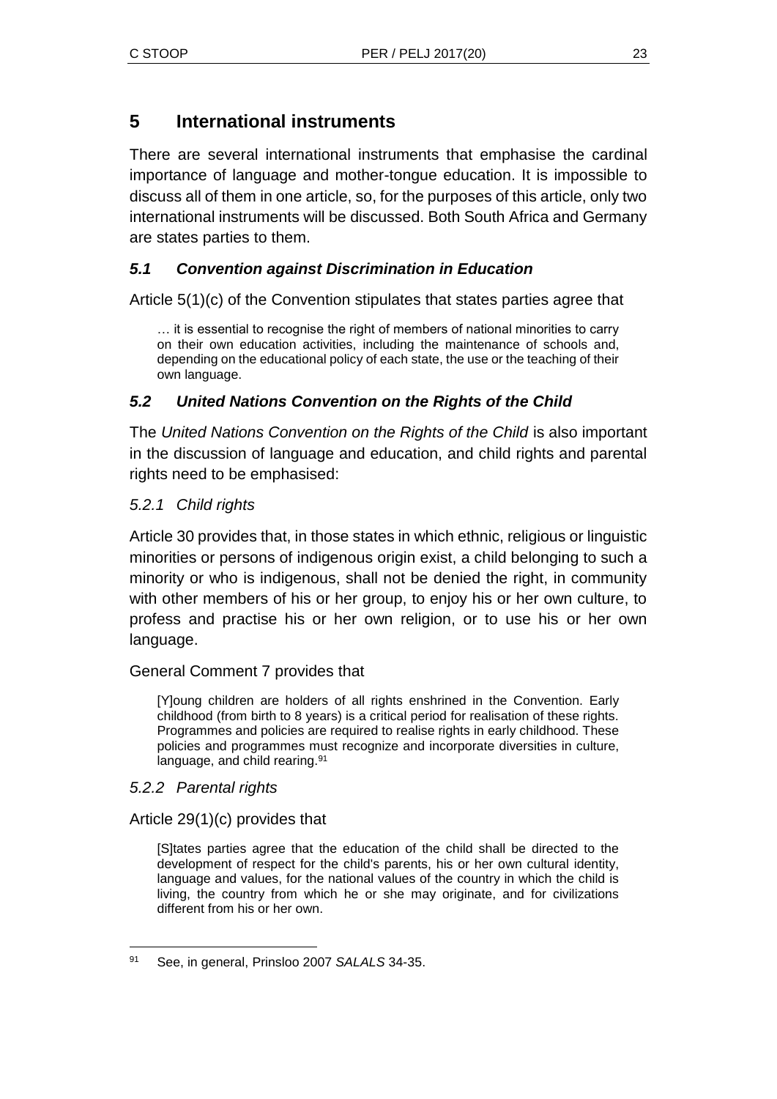## **5 International instruments**

There are several international instruments that emphasise the cardinal importance of language and mother-tongue education. It is impossible to discuss all of them in one article, so, for the purposes of this article, only two international instruments will be discussed. Both South Africa and Germany are states parties to them.

## *5.1 Convention against Discrimination in Education*

Article 5(1)(c) of the Convention stipulates that states parties agree that

… it is essential to recognise the right of members of national minorities to carry on their own education activities, including the maintenance of schools and, depending on the educational policy of each state, the use or the teaching of their own language.

## *5.2 United Nations Convention on the Rights of the Child*

The *United Nations Convention on the Rights of the Child* is also important in the discussion of language and education, and child rights and parental rights need to be emphasised:

### *5.2.1 Child rights*

Article 30 provides that, in those states in which ethnic, religious or linguistic minorities or persons of indigenous origin exist, a child belonging to such a minority or who is indigenous, shall not be denied the right, in community with other members of his or her group, to enjoy his or her own culture, to profess and practise his or her own religion, or to use his or her own language.

### General Comment 7 provides that

[Y]oung children are holders of all rights enshrined in the Convention. Early childhood (from birth to 8 years) is a critical period for realisation of these rights. Programmes and policies are required to realise rights in early childhood. These policies and programmes must recognize and incorporate diversities in culture, language, and child rearing.<sup>91</sup>

### *5.2.2 Parental rights*

Article 29(1)(c) provides that

[S]tates parties agree that the education of the child shall be directed to the development of respect for the child's parents, his or her own cultural identity, language and values, for the national values of the country in which the child is living, the country from which he or she may originate, and for civilizations different from his or her own.

l <sup>91</sup> See, in general, Prinsloo 2007 *SALALS* 34-35.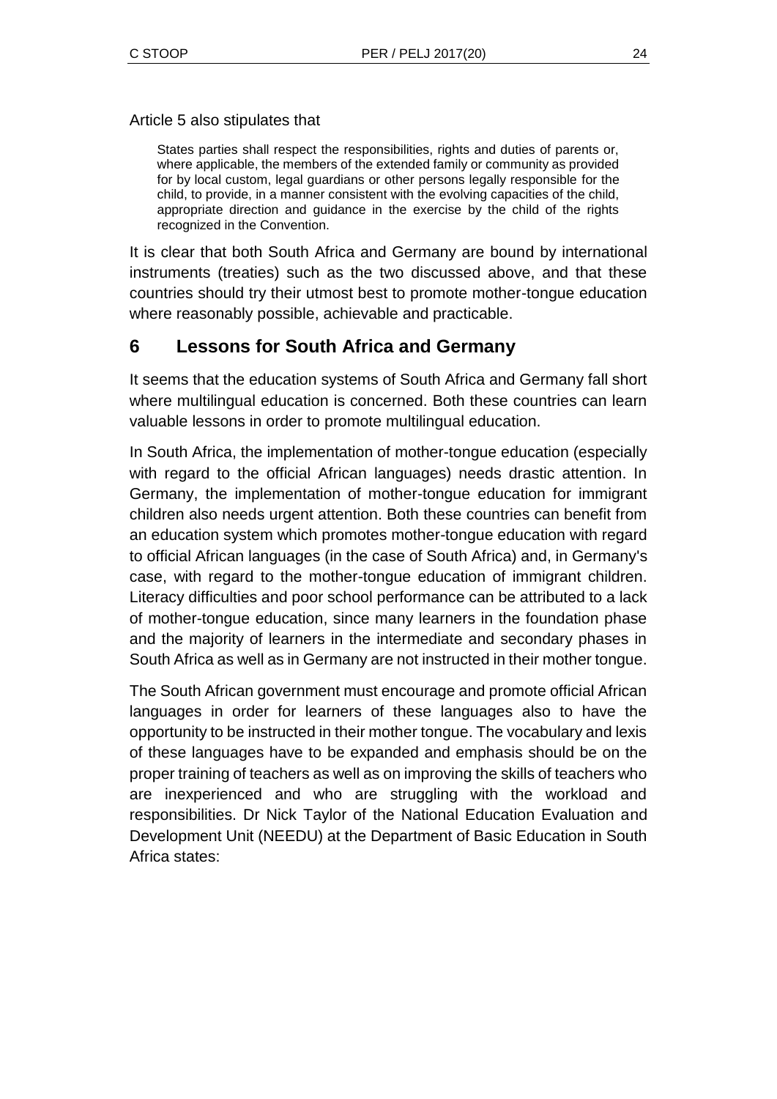#### Article 5 also stipulates that

States parties shall respect the responsibilities, rights and duties of parents or, where applicable, the members of the extended family or community as provided for by local custom, legal guardians or other persons legally responsible for the child, to provide, in a manner consistent with the evolving capacities of the child, appropriate direction and guidance in the exercise by the child of the rights recognized in the Convention.

It is clear that both South Africa and Germany are bound by international instruments (treaties) such as the two discussed above, and that these countries should try their utmost best to promote mother-tongue education where reasonably possible, achievable and practicable.

## **6 Lessons for South Africa and Germany**

It seems that the education systems of South Africa and Germany fall short where multilingual education is concerned. Both these countries can learn valuable lessons in order to promote multilingual education.

In South Africa, the implementation of mother-tongue education (especially with regard to the official African languages) needs drastic attention. In Germany, the implementation of mother-tongue education for immigrant children also needs urgent attention. Both these countries can benefit from an education system which promotes mother-tongue education with regard to official African languages (in the case of South Africa) and, in Germany's case, with regard to the mother-tongue education of immigrant children. Literacy difficulties and poor school performance can be attributed to a lack of mother-tongue education, since many learners in the foundation phase and the majority of learners in the intermediate and secondary phases in South Africa as well as in Germany are not instructed in their mother tongue.

The South African government must encourage and promote official African languages in order for learners of these languages also to have the opportunity to be instructed in their mother tongue. The vocabulary and lexis of these languages have to be expanded and emphasis should be on the proper training of teachers as well as on improving the skills of teachers who are inexperienced and who are struggling with the workload and responsibilities. Dr Nick Taylor of the National Education Evaluation and Development Unit (NEEDU) at the Department of Basic Education in South Africa states: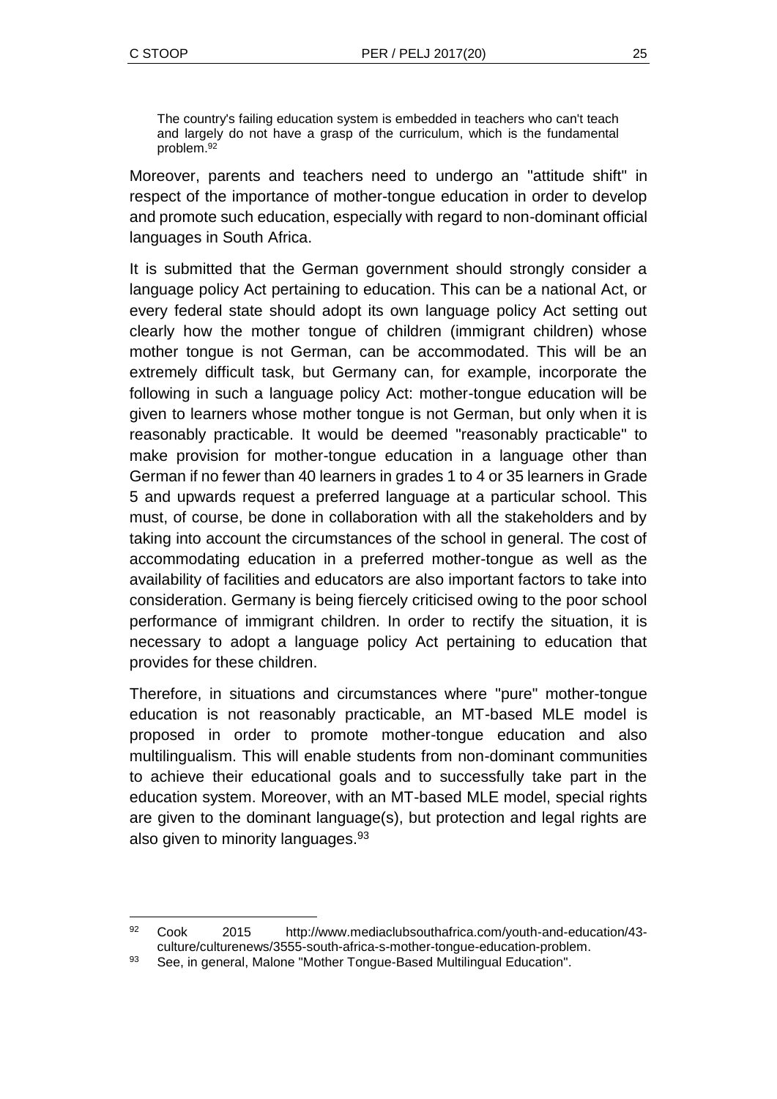$\overline{a}$ 

The country's failing education system is embedded in teachers who can't teach and largely do not have a grasp of the curriculum, which is the fundamental problem.<sup>92</sup>

Moreover, parents and teachers need to undergo an "attitude shift" in respect of the importance of mother-tongue education in order to develop and promote such education, especially with regard to non-dominant official languages in South Africa.

It is submitted that the German government should strongly consider a language policy Act pertaining to education. This can be a national Act, or every federal state should adopt its own language policy Act setting out clearly how the mother tongue of children (immigrant children) whose mother tongue is not German, can be accommodated. This will be an extremely difficult task, but Germany can, for example, incorporate the following in such a language policy Act: mother-tongue education will be given to learners whose mother tongue is not German, but only when it is reasonably practicable. It would be deemed "reasonably practicable" to make provision for mother-tongue education in a language other than German if no fewer than 40 learners in grades 1 to 4 or 35 learners in Grade 5 and upwards request a preferred language at a particular school. This must, of course, be done in collaboration with all the stakeholders and by taking into account the circumstances of the school in general. The cost of accommodating education in a preferred mother-tongue as well as the availability of facilities and educators are also important factors to take into consideration. Germany is being fiercely criticised owing to the poor school performance of immigrant children. In order to rectify the situation, it is necessary to adopt a language policy Act pertaining to education that provides for these children.

Therefore, in situations and circumstances where "pure" mother-tongue education is not reasonably practicable, an MT-based MLE model is proposed in order to promote mother-tongue education and also multilingualism. This will enable students from non-dominant communities to achieve their educational goals and to successfully take part in the education system. Moreover, with an MT-based MLE model, special rights are given to the dominant language(s), but protection and legal rights are also given to minority languages.<sup>93</sup>

<sup>92</sup> Cook 2015 http://www.mediaclubsouthafrica.com/youth-and-education/43 culture/culturenews/3555-south-africa-s-mother-tongue-education-problem.

<sup>93</sup> See, in general, Malone "Mother Tongue-Based Multilingual Education".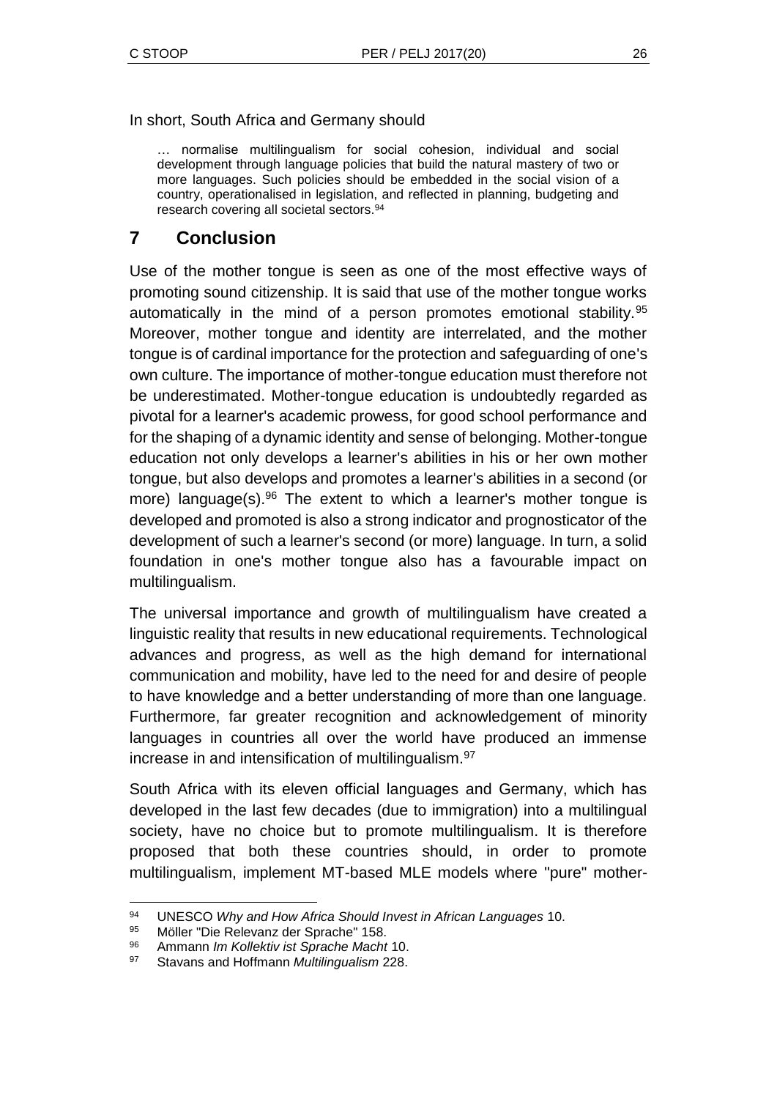In short, South Africa and Germany should

… normalise multilingualism for social cohesion, individual and social development through language policies that build the natural mastery of two or more languages. Such policies should be embedded in the social vision of a country, operationalised in legislation, and reflected in planning, budgeting and research covering all societal sectors.<sup>94</sup>

## **7 Conclusion**

Use of the mother tongue is seen as one of the most effective ways of promoting sound citizenship. It is said that use of the mother tongue works automatically in the mind of a person promotes emotional stability.<sup>95</sup> Moreover, mother tongue and identity are interrelated, and the mother tongue is of cardinal importance for the protection and safeguarding of one's own culture. The importance of mother-tongue education must therefore not be underestimated. Mother-tongue education is undoubtedly regarded as pivotal for a learner's academic prowess, for good school performance and for the shaping of a dynamic identity and sense of belonging. Mother-tongue education not only develops a learner's abilities in his or her own mother tongue, but also develops and promotes a learner's abilities in a second (or more) language(s).<sup>96</sup> The extent to which a learner's mother tongue is developed and promoted is also a strong indicator and prognosticator of the development of such a learner's second (or more) language. In turn, a solid foundation in one's mother tongue also has a favourable impact on multilingualism.

The universal importance and growth of multilingualism have created a linguistic reality that results in new educational requirements. Technological advances and progress, as well as the high demand for international communication and mobility, have led to the need for and desire of people to have knowledge and a better understanding of more than one language. Furthermore, far greater recognition and acknowledgement of minority languages in countries all over the world have produced an immense increase in and intensification of multilingualism.<sup>97</sup>

South Africa with its eleven official languages and Germany, which has developed in the last few decades (due to immigration) into a multilingual society, have no choice but to promote multilingualism. It is therefore proposed that both these countries should, in order to promote multilingualism, implement MT-based MLE models where "pure" mother-

l <sup>94</sup> UNESCO *Why and How Africa Should Invest in African Languages* 10.

<sup>95</sup> Möller "Die Relevanz der Sprache" 158.

<sup>96</sup> Ammann *Im Kollektiv ist Sprache Macht* 10.

<sup>97</sup> Stavans and Hoffmann *Multilingualism* 228.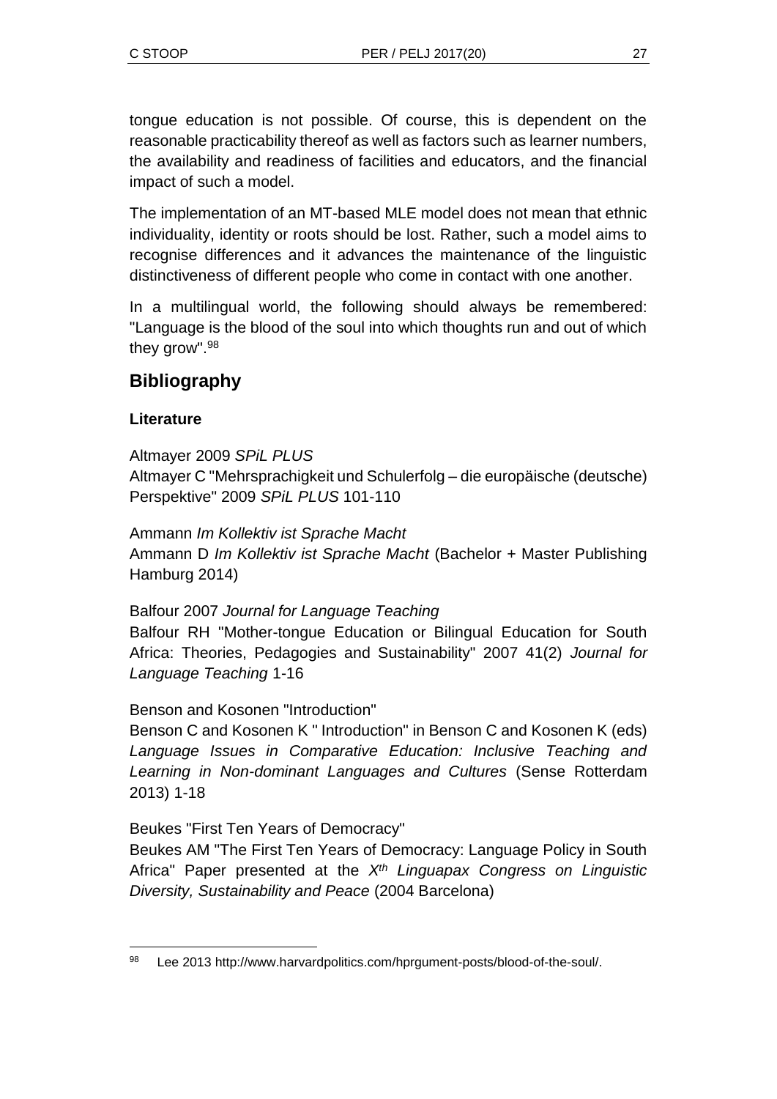tongue education is not possible. Of course, this is dependent on the reasonable practicability thereof as well as factors such as learner numbers, the availability and readiness of facilities and educators, and the financial impact of such a model.

The implementation of an MT-based MLE model does not mean that ethnic individuality, identity or roots should be lost. Rather, such a model aims to recognise differences and it advances the maintenance of the linguistic distinctiveness of different people who come in contact with one another.

In a multilingual world, the following should always be remembered: "Language is the blood of the soul into which thoughts run and out of which they grow". 98

## **Bibliography**

## **Literature**

Altmayer 2009 *SPiL PLUS* Altmayer C "Mehrsprachigkeit und Schulerfolg – die europäische (deutsche) Perspektive" 2009 *SPiL PLUS* 101-110

Ammann *Im Kollektiv ist Sprache Macht* Ammann D *Im Kollektiv ist Sprache Macht* (Bachelor + Master Publishing Hamburg 2014)

Balfour 2007 *Journal for Language Teaching* Balfour RH "Mother-tongue Education or Bilingual Education for South Africa: Theories, Pedagogies and Sustainability" 2007 41(2) *Journal for Language Teaching* 1-16

Benson and Kosonen "Introduction"

Benson C and Kosonen K " Introduction" in Benson C and Kosonen K (eds) *Language Issues in Comparative Education: Inclusive Teaching and Learning in Non-dominant Languages and Cultures* (Sense Rotterdam 2013) 1-18

Beukes "First Ten Years of Democracy"

Beukes AM "The First Ten Years of Democracy: Language Policy in South Africa" Paper presented at the *Xth Linguapax Congress on Linguistic Diversity, Sustainability and Peace* (2004 Barcelona)

l <sup>98</sup> Lee 2013 http://www.harvardpolitics.com/hprgument-posts/blood-of-the-soul/.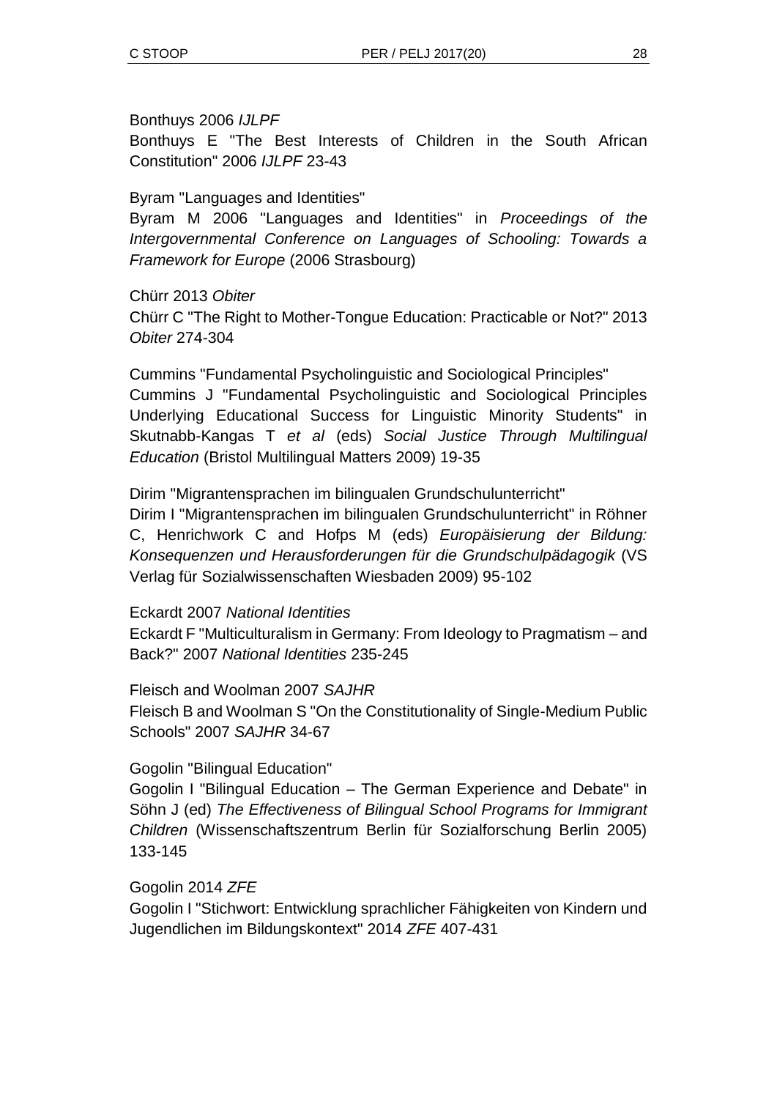#### Bonthuys 2006 *IJLPF*

Bonthuys E "The Best Interests of Children in the South African Constitution" 2006 *IJLPF* 23-43

### Byram "Languages and Identities"

Byram M 2006 "Languages and Identities" in *Proceedings of the Intergovernmental Conference on Languages of Schooling: Towards a Framework for Europe* (2006 Strasbourg)

#### Chürr 2013 *Obiter*

Chürr C "The Right to Mother-Tongue Education: Practicable or Not?" 2013 *Obiter* 274-304

Cummins "Fundamental Psycholinguistic and Sociological Principles" Cummins J "Fundamental Psycholinguistic and Sociological Principles Underlying Educational Success for Linguistic Minority Students" in Skutnabb-Kangas T *et al* (eds) *Social Justice Through Multilingual Education* (Bristol Multilingual Matters 2009) 19-35

Dirim "Migrantensprachen im bilingualen Grundschulunterricht" Dirim I "Migrantensprachen im bilingualen Grundschulunterricht" in Röhner C, Henrichwork C and Hofps M (eds) *Europäisierung der Bildung: Konsequenzen und Herausforderungen für die Grundschulpädagogik* (VS Verlag für Sozialwissenschaften Wiesbaden 2009) 95-102

#### Eckardt 2007 *National Identities*

Eckardt F "Multiculturalism in Germany: From Ideology to Pragmatism – and Back?" 2007 *National Identities* 235-245

Fleisch and Woolman 2007 *SAJHR*

Fleisch B and Woolman S "On the Constitutionality of Single-Medium Public Schools" 2007 *SAJHR* 34-67

#### Gogolin "Bilingual Education"

Gogolin I "Bilingual Education – The German Experience and Debate" in Söhn J (ed) *The Effectiveness of Bilingual School Programs for Immigrant Children* (Wissenschaftszentrum Berlin für Sozialforschung Berlin 2005) 133-145

Gogolin 2014 *ZFE*

Gogolin I "Stichwort: Entwicklung sprachlicher Fähigkeiten von Kindern und Jugendlichen im Bildungskontext" 2014 *ZFE* 407-431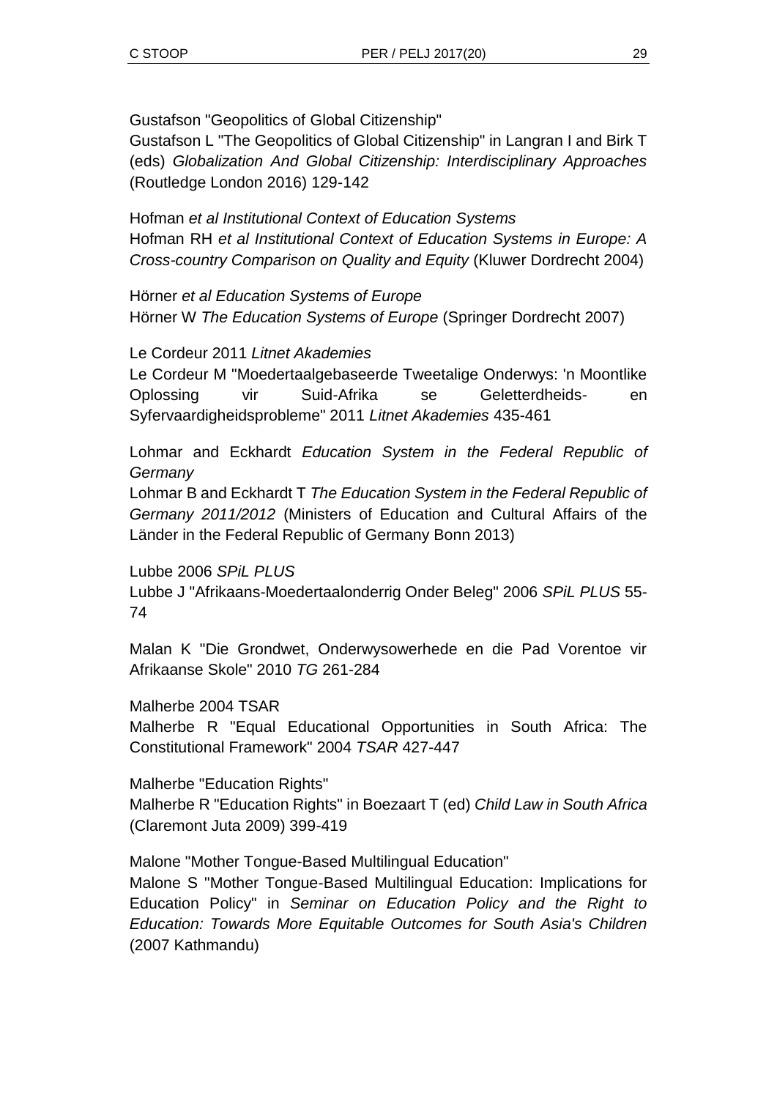Gustafson "Geopolitics of Global Citizenship"

Gustafson L "The Geopolitics of Global Citizenship" in Langran I and Birk T (eds) *Globalization And Global Citizenship: Interdisciplinary Approaches*  (Routledge London 2016) 129-142

Hofman *et al Institutional Context of Education Systems* Hofman RH *et al Institutional Context of Education Systems in Europe: A Cross-country Comparison on Quality and Equity* (Kluwer Dordrecht 2004)

Hörner *et al Education Systems of Europe* Hörner W *The Education Systems of Europe* (Springer Dordrecht 2007)

Le Cordeur 2011 *Litnet Akademies*

Le Cordeur M "Moedertaalgebaseerde Tweetalige Onderwys: 'n Moontlike Oplossing vir Suid-Afrika se Geletterdheids- en Syfervaardigheidsprobleme" 2011 *Litnet Akademies* 435-461

Lohmar and Eckhardt *Education System in the Federal Republic of Germany*

Lohmar B and Eckhardt T *The Education System in the Federal Republic of Germany 2011/2012* (Ministers of Education and Cultural Affairs of the Länder in the Federal Republic of Germany Bonn 2013)

Lubbe 2006 *SPiL PLUS* Lubbe J "Afrikaans-Moedertaalonderrig Onder Beleg" 2006 *SPiL PLUS* 55- 74

Malan K "Die Grondwet, Onderwysowerhede en die Pad Vorentoe vir Afrikaanse Skole" 2010 *TG* 261-284

Malherbe 2004 TSAR

Malherbe R "Equal Educational Opportunities in South Africa: The Constitutional Framework" 2004 *TSAR* 427-447

Malherbe "Education Rights" Malherbe R "Education Rights" in Boezaart T (ed) *Child Law in South Africa* (Claremont Juta 2009) 399-419

Malone "Mother Tongue-Based Multilingual Education"

Malone S "Mother Tongue-Based Multilingual Education: Implications for Education Policy" in *Seminar on Education Policy and the Right to Education: Towards More Equitable Outcomes for South Asia's Children* (2007 Kathmandu)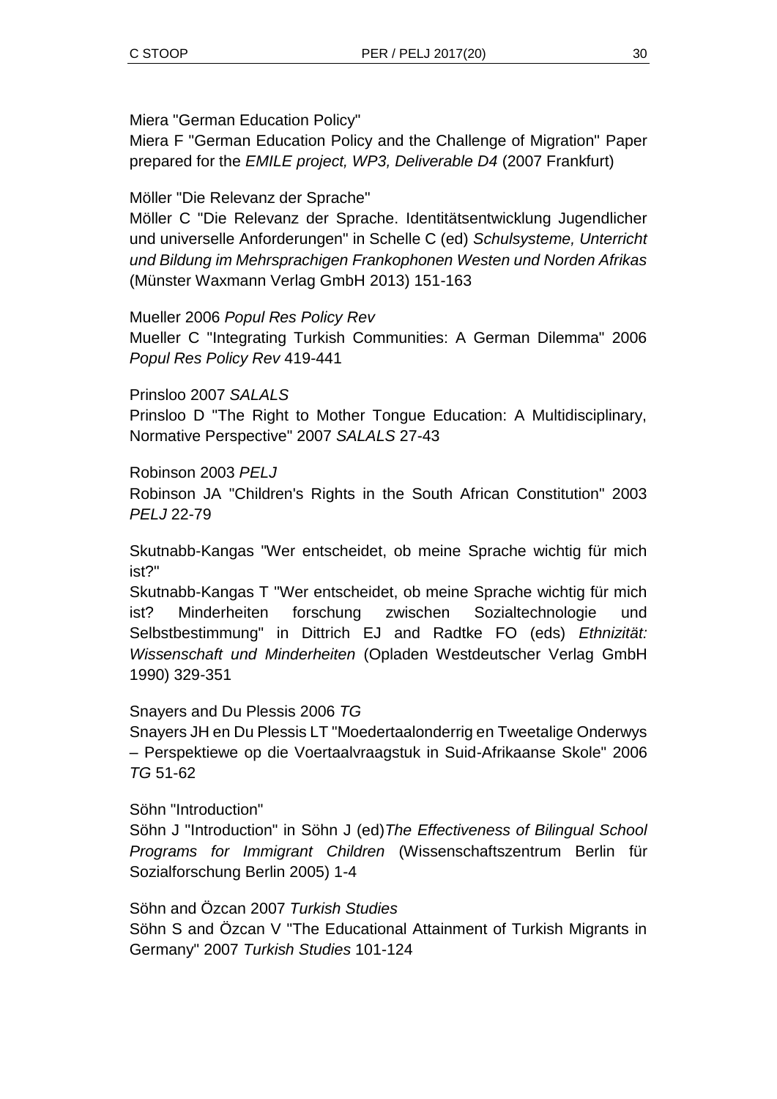Miera "German Education Policy"

Miera F "German Education Policy and the Challenge of Migration" Paper prepared for the *EMILE project, WP3, Deliverable D4* (2007 Frankfurt)

Möller "Die Relevanz der Sprache"

Möller C "Die Relevanz der Sprache. Identitätsentwicklung Jugendlicher und universelle Anforderungen" in Schelle C (ed) *Schulsysteme, Unterricht und Bildung im Mehrsprachigen Frankophonen Westen und Norden Afrikas* (Münster Waxmann Verlag GmbH 2013) 151-163

Mueller 2006 *Popul Res Policy Rev*

Mueller C "Integrating Turkish Communities: A German Dilemma" 2006 *Popul Res Policy Rev* 419-441

Prinsloo 2007 *SALALS* Prinsloo D "The Right to Mother Tongue Education: A Multidisciplinary, Normative Perspective" 2007 *SALALS* 27-43

Robinson 2003 *PELJ*

Robinson JA "Children's Rights in the South African Constitution" 2003 *PELJ* 22-79

Skutnabb-Kangas "Wer entscheidet, ob meine Sprache wichtig für mich ist?"

Skutnabb-Kangas T "Wer entscheidet, ob meine Sprache wichtig für mich ist? Minderheiten forschung zwischen Sozialtechnologie und Selbstbestimmung" in Dittrich EJ and Radtke FO (eds) *Ethnizität: Wissenschaft und Minderheiten* (Opladen Westdeutscher Verlag GmbH 1990) 329-351

Snayers and Du Plessis 2006 *TG*

Snayers JH en Du Plessis LT "Moedertaalonderrig en Tweetalige Onderwys – Perspektiewe op die Voertaalvraagstuk in Suid-Afrikaanse Skole" 2006 *TG* 51-62

Söhn "Introduction"

Söhn J "Introduction" in Söhn J (ed)*The Effectiveness of Bilingual School Programs for Immigrant Children* (Wissenschaftszentrum Berlin für Sozialforschung Berlin 2005) 1-4

Söhn and Özcan 2007 *Turkish Studies* Söhn S and Özcan V "The Educational Attainment of Turkish Migrants in Germany" 2007 *Turkish Studies* 101-124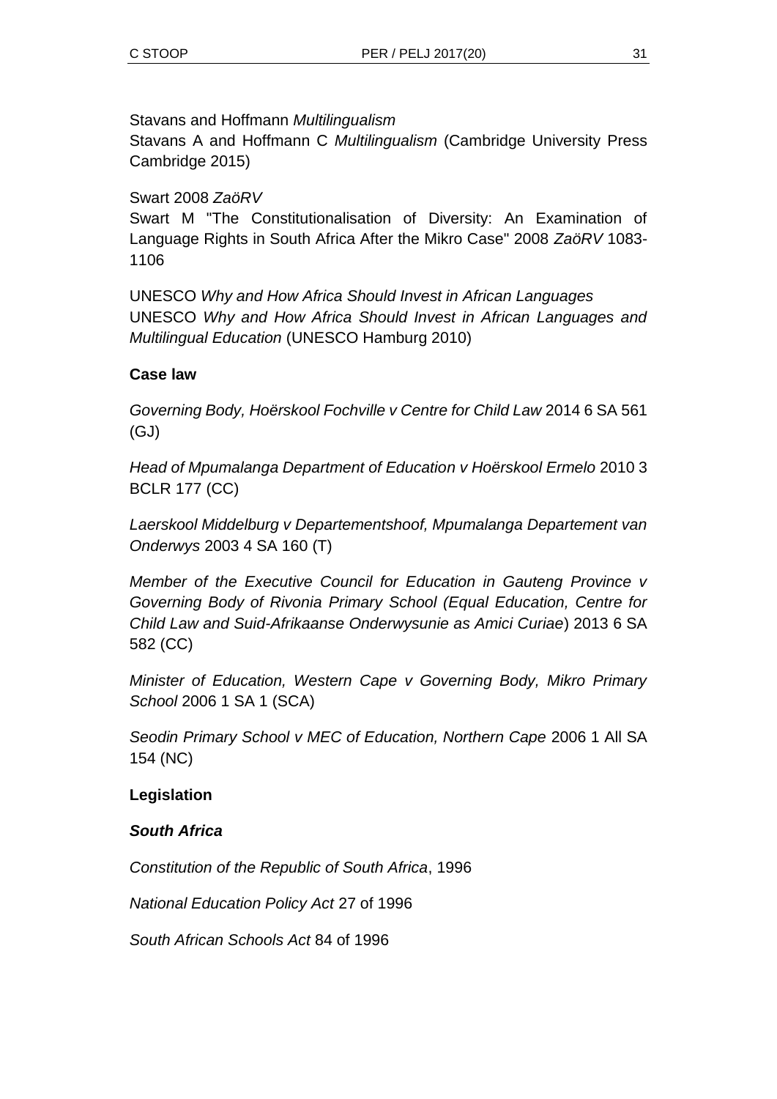Stavans and Hoffmann *Multilingualism*

Stavans A and Hoffmann C *Multilingualism* (Cambridge University Press Cambridge 2015)

### Swart 2008 *ZaöRV*

Swart M "The Constitutionalisation of Diversity: An Examination of Language Rights in South Africa After the Mikro Case" 2008 *ZaöRV* 1083- 1106

UNESCO *Why and How Africa Should Invest in African Languages* UNESCO *Why and How Africa Should Invest in African Languages and Multilingual Education* (UNESCO Hamburg 2010)

### **Case law**

*Governing Body, Hoërskool Fochville v Centre for Child Law* 2014 6 SA 561 (GJ)

*Head of Mpumalanga Department of Education v Hoërskool Ermelo* 2010 3 BCLR 177 (CC)

*Laerskool Middelburg v Departementshoof, Mpumalanga Departement van Onderwys* 2003 4 SA 160 (T)

*Member of the Executive Council for Education in Gauteng Province v Governing Body of Rivonia Primary School (Equal Education, Centre for Child Law and Suid-Afrikaanse Onderwysunie as Amici Curiae*) 2013 6 SA 582 (CC)

*Minister of Education, Western Cape v Governing Body, Mikro Primary School* 2006 1 SA 1 (SCA)

*Seodin Primary School v MEC of Education, Northern Cape* 2006 1 All SA 154 (NC)

### **Legislation**

#### *South Africa*

*Constitution of the Republic of South Africa*, 1996

*National Education Policy Act* 27 of 1996

*South African Schools Act* 84 of 1996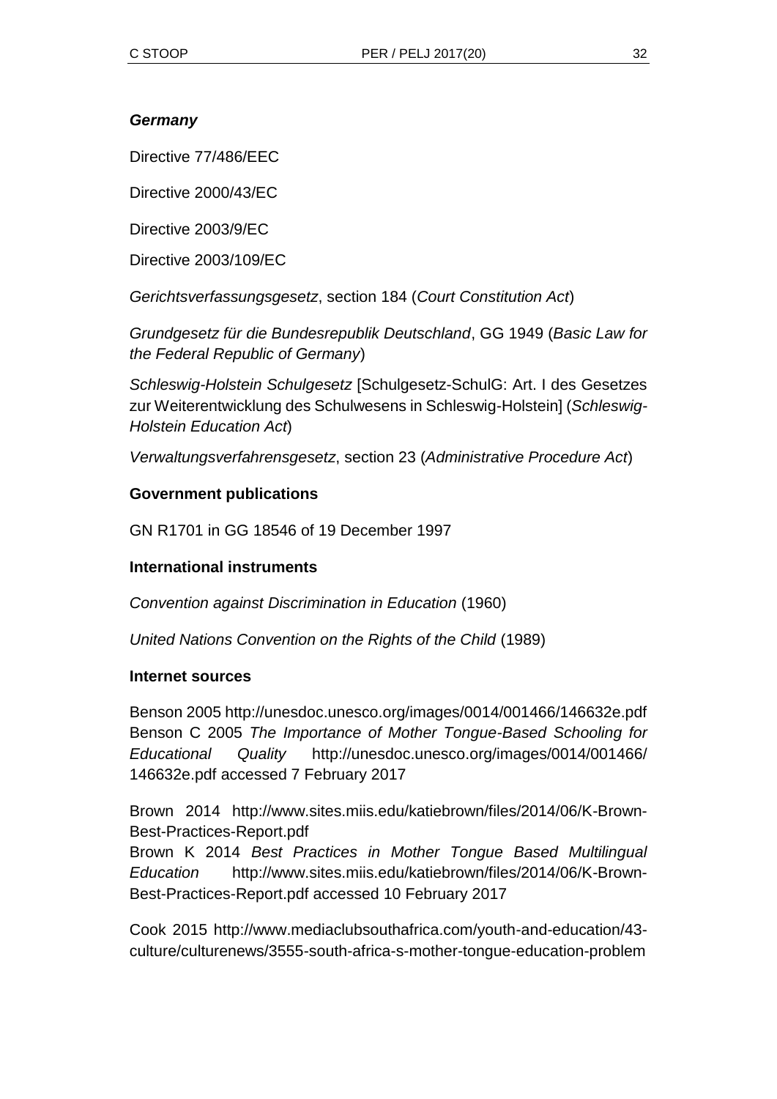### *Germany*

Directive 77/486/EEC

Directive 2000/43/EC

Directive 2003/9/EC

Directive 2003/109/EC

*Gerichtsverfassungsgesetz*, section 184 (*Court Constitution Act*)

*Grundgesetz für die Bundesrepublik Deutschland*, GG 1949 (*Basic Law for the Federal Republic of Germany*)

*Schleswig-Holstein Schulgesetz* [Schulgesetz-SchulG: Art. I des Gesetzes zur Weiterentwicklung des Schulwesens in Schleswig-Holstein] (*Schleswig-Holstein Education Act*)

*Verwaltungsverfahrensgesetz*, section 23 (*Administrative Procedure Act*)

### **Government publications**

GN R1701 in GG 18546 of 19 December 1997

#### **International instruments**

*Convention against Discrimination in Education* (1960)

*United Nations Convention on the Rights of the Child* (1989)

#### **Internet sources**

Benson 2005 http://unesdoc.unesco.org/images/0014/001466/146632e.pdf Benson C 2005 *The Importance of Mother Tongue-Based Schooling for Educational Quality* http://unesdoc.unesco.org/images/0014/001466/ 146632e.pdf accessed 7 February 2017

Brown 2014 http://www.sites.miis.edu/katiebrown/files/2014/06/K-Brown-Best-Practices-Report.pdf

Brown K 2014 *Best Practices in Mother Tongue Based Multilingual Education* http://www.sites.miis.edu/katiebrown/files/2014/06/K-Brown-Best-Practices-Report.pdf accessed 10 February 2017

Cook 2015 http://www.mediaclubsouthafrica.com/youth-and-education/43 culture/culturenews/3555-south-africa-s-mother-tongue-education-problem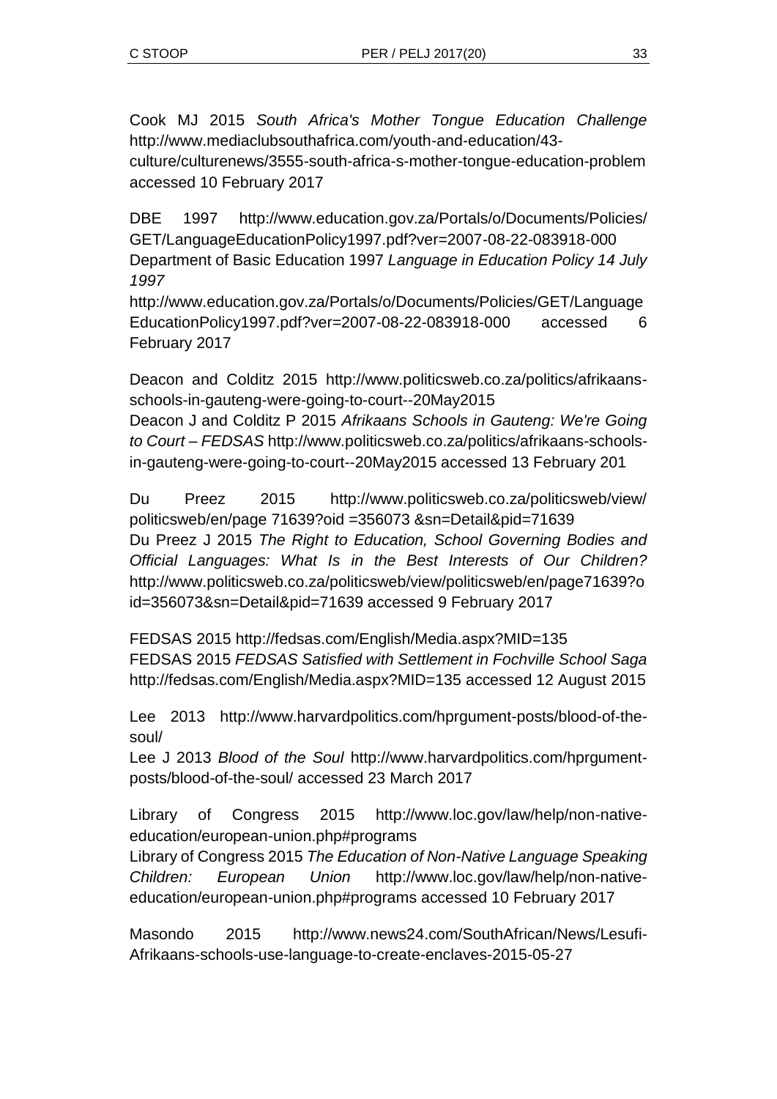Cook MJ 2015 *South Africa's Mother Tongue Education Challenge*  http://www.mediaclubsouthafrica.com/youth-and-education/43 culture/culturenews/3555-south-africa-s-mother-tongue-education-problem accessed 10 February 2017

DBE 1997 http://www.education.gov.za/Portals/o/Documents/Policies/ GET/LanguageEducationPolicy1997.pdf?ver=2007-08-22-083918-000 Department of Basic Education 1997 *Language in Education Policy 14 July 1997*

http://www.education.gov.za/Portals/o/Documents/Policies/GET/Language EducationPolicy1997.pdf?ver=2007-08-22-083918-000 accessed 6 February 2017

Deacon and Colditz 2015 http://www.politicsweb.co.za/politics/afrikaansschools-in-gauteng-were-going-to-court--20May2015 Deacon J and Colditz P 2015 *Afrikaans Schools in Gauteng: We're Going to Court – FEDSAS* http://www.politicsweb.co.za/politics/afrikaans-schoolsin-gauteng-were-going-to-court--20May2015 accessed 13 February 201

Du Preez 2015 http://www.politicsweb.co.za/politicsweb/view/ politicsweb/en/page 71639?oid =356073 &sn=Detail&pid=71639 Du Preez J 2015 *The Right to Education, School Governing Bodies and Official Languages: What Is in the Best Interests of Our Children?* http://www.politicsweb.co.za/politicsweb/view/politicsweb/en/page71639?o id=356073&sn=Detail&pid=71639 accessed 9 February 2017

FEDSAS 2015 http://fedsas.com/English/Media.aspx?MID=135 FEDSAS 2015 *FEDSAS Satisfied with Settlement in Fochville School Saga* http://fedsas.com/English/Media.aspx?MID=135 accessed 12 August 2015

Lee 2013 http://www.harvardpolitics.com/hprgument-posts/blood-of-thesoul/

Lee J 2013 *Blood of the Soul* http://www.harvardpolitics.com/hprgumentposts/blood-of-the-soul/ accessed 23 March 2017

Library of Congress 2015 http://www.loc.gov/law/help/non-nativeeducation/european-union.php#programs

Library of Congress 2015 *The Education of Non-Native Language Speaking Children: European Union* http://www.loc.gov/law/help/non-nativeeducation/european-union.php#programs accessed 10 February 2017

Masondo 2015 http://www.news24.com/SouthAfrican/News/Lesufi-Afrikaans-schools-use-language-to-create-enclaves-2015-05-27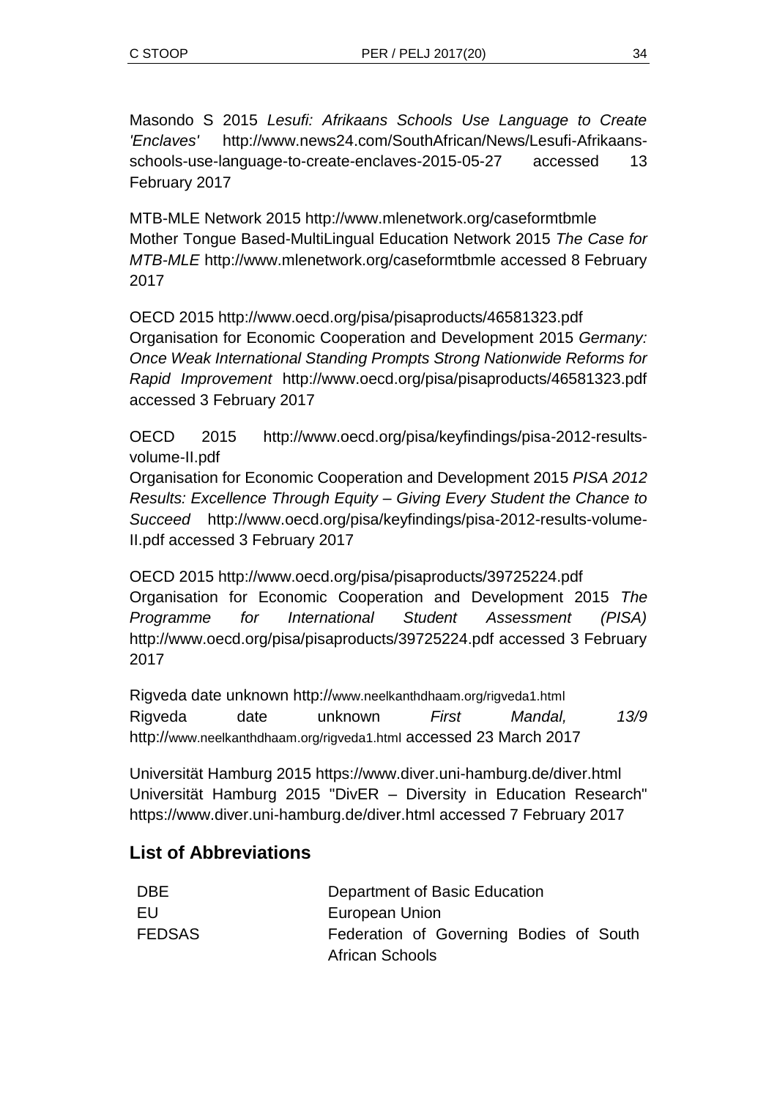Masondo S 2015 *Lesufi: Afrikaans Schools Use Language to Create 'Enclaves'* http://www.news24.com/SouthAfrican/News/Lesufi-Afrikaansschools-use-language-to-create-enclaves-2015-05-27 accessed 13 February 2017

MTB-MLE Network 2015 http://www.mlenetwork.org/caseformtbmle Mother Tongue Based-MultiLingual Education Network 2015 *The Case for MTB-MLE* http://www.mlenetwork.org/caseformtbmle accessed 8 February 2017

OECD 2015 http://www.oecd.org/pisa/pisaproducts/46581323.pdf Organisation for Economic Cooperation and Development 2015 *Germany: Once Weak International Standing Prompts Strong Nationwide Reforms for Rapid Improvement* http://www.oecd.org/pisa/pisaproducts/46581323.pdf accessed 3 February 2017

OECD 2015 http://www.oecd.org/pisa/keyfindings/pisa-2012-resultsvolume-II.pdf

Organisation for Economic Cooperation and Development 2015 *PISA 2012 Results: Excellence Through Equity – Giving Every Student the Chance to Succeed* http://www.oecd.org/pisa/keyfindings/pisa-2012-results-volume-II.pdf accessed 3 February 2017

OECD 2015 http://www.oecd.org/pisa/pisaproducts/39725224.pdf Organisation for Economic Cooperation and Development 2015 *The Programme for International Student Assessment (PISA)* http://www.oecd.org/pisa/pisaproducts/39725224.pdf accessed 3 February 2017

Rigveda date unknown http://www.neelkanthdhaam.org/rigveda1.html Rigveda date unknown *First Mandal, 13/9*  http://www.neelkanthdhaam.org/rigveda1.html accessed 23 March 2017

Universität Hamburg 2015 https://www.diver.uni-hamburg.de/diver.html Universität Hamburg 2015 "DivER – Diversity in Education Research" https://www.diver.uni-hamburg.de/diver.html accessed 7 February 2017

## **List of Abbreviations**

| <b>DBE</b>    | Department of Basic Education                              |
|---------------|------------------------------------------------------------|
| EU.           | European Union                                             |
| <b>FEDSAS</b> | Federation of Governing Bodies of South<br>African Schools |